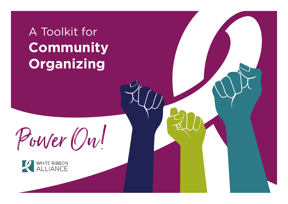# A Toolkit for **Community Organizing**



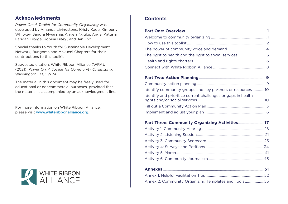#### **Acknowledgments**

*Power On: A Toolkit for Community Organizing* was developed by Amanda Livingstone, Kristy Kade, Kimberly Whipkey, Sandra Mwarania, Angela Nguku, Angel Katusia, Faridah Luyiga, Robina Biteyi, and Jen Fox.

Special thanks to Youth for Sustainable Development Network, Bungoma and Makueni Chapters for their contributions to this toolkit.

Suggested citation: White Ribbon Alliance (WRA). (2021). P*ower On: A Toolkit for Community Organizing*. Washington, D.C.: WRA.

The material in this document may be freely used for educational or noncommercial purposes, provided that the material is accompanied by an acknowledgment line.

For more information on White Ribbon Alliance, please visit [www.whiteribbonalliance.org](http://www.whiteribbonalliance.org).



#### **Contents**

| Identify community groups and key partners or resources10    |  |
|--------------------------------------------------------------|--|
| Identify and prioritize current challenges or gaps in health |  |
|                                                              |  |
|                                                              |  |

#### **[Part Three: Community Organizing Activities](#page-18-0)**..........................**17**

| Annex 2: Community Organizing Templates and Tools55 |  |
|-----------------------------------------------------|--|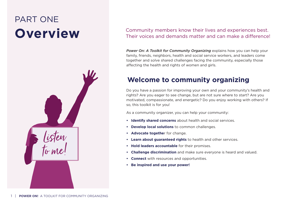## <span id="page-2-0"></span>PART ONE **Overview**



#### Community members know their lives and experiences best. Their voices and demands matter and can make a difference!

*Power On: A Toolkit for Community Organizing* explains how you can help your family, friends, neighbors, health and social service workers, and leaders come together and solve shared challenges facing the community, especially those affecting the health and rights of women and girls.

## **Welcome to community organizing**

Do you have a passion for improving your own and your community's health and rights? Are you eager to see change, but are not sure where to start? Are you motivated, compassionate, and energetic? Do you enjoy working with others? If so, this toolkit is for you!

As a community organizer, you can help your community:

- **• Identify shared concerns** about health and social services.
- **• Develop local solutions** to common challenges.
- **• Advocate togethe**r for change.
- **• Learn about guaranteed rights** to health and other services.
- **• Hold leaders accountable** for their promises.
- **• Challenge discrimination** and make sure everyone is heard and valued.
- **• Connect** with resources and opportunities.
- **• Be inspired and use your power!**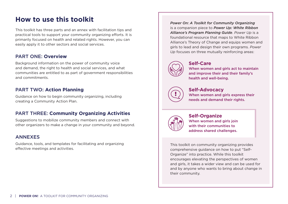## <span id="page-3-0"></span>**How to use this toolkit**

This toolkit has three parts and an annex with facilitation tips and practical tools to support your community organizing efforts. It is primarily focused on health and related rights. However, you can easily apply it to other sectors and social services.

#### PART ONE: **Overview**

Background information on the power of community voice and demand, the right to health and social services, and what communities are entitled to as part of government responsibilities and commitments.

#### PART TWO: **Action Planning**

Guidance on how to begin community organizing, including creating a Community Action Plan.

#### PART THREE: **Community Organizing Activities**

Suggestions to mobilize community members and connect with other organizers to make a change in your community and beyond.

#### **ANNEXES**

Guidance, tools, and templates for facilitating and organizing effective meetings and activities.

*Power On: A Toolkit for Community Organizing*  is a companion piece to *Power Up: White Ribbon Alliance's Program Planning Guide*. *Power Up* is a foundational resource that maps to White Ribbon Alliance's Theory of Change and equips women and girls to lead and design their own programs. *Power Up* focuses on three mutually reinforcing areas:



#### **Self-Care**

When women and girls act to maintain and improve their and their family's health and well-being.



#### **Self-Advocacy**

When women and girls express their needs and demand their rights.



#### **Self-Organize** When women and girls join with their communities to address shared challenges.

This toolkit on community organizing provides comprehensive guidance on how to put "Self-Organize" into practice. While this toolkit encourages elevating the perspectives of women and girls, it takes a wider view and can be used for and by anyone who wants to bring about change in their community.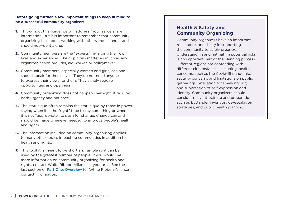#### **Before going further, a few important things to keep in mind to be a successful community organizer:**

- **1.** Throughout this guide, we will address "you" as we share information. But it is important to remember that community organizing is all about working with others. You cannot—and should not—do it alone.
- 2. Community members are the "experts" regarding their own lives and experiences. Their opinions matter as much as any organizer, health provider, aid worker, or policymaker.
- **3.** Community members, especially women and girls, can and should speak for themselves. They do not need anyone to express their views for them. They simply require opportunities and openness.
- 4. Community organizing does not happen overnight. It requires both urgency and patience.
- **5.** The status quo often remains the status quo by those in power saying when it is the "right" time to say something or when it is not "appropriate" to push for change. Change can and should be made whenever needed to improve people's health and rights.
- **6.** The information included on community organizing applies to many other topics impacting communities in addition to health and rights.
- **7.** This toolkit is meant to be short and simple so it can be used by the greatest number of people. If you would like more information on community organizing for health and rights, contact White Ribbon Alliance in your area. See the last section of [Part One: Overview](#page-2-0) for White Ribbon Alliance contact information.

#### **Health & Safety and Community Organizing**

Community organizers have an important role and responsibility in supporting the community to safely organize. Understanding and mitigating potential risks is an important part of the planning process. Different regions are contending with different circumstances, including: health concerns, such as the Covid-19 pandemic; security concerns and limitations on public gatherings; retaliation for speaking out; and suppression of self-expression and identity. Community organizers should consider relevant training and preparation such as bystander invention, de-escalation strategies, and public health planning.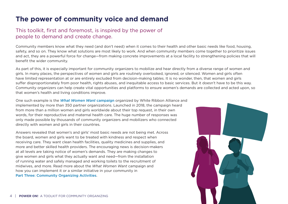## <span id="page-5-0"></span>**The power of community voice and demand**

#### This toolkit, first and foremost, is inspired by the power of people to demand and create change.

Community members know what they need (and don't need) when it comes to their health and other basic needs like food, housing, safety, and so on. They know what solutions are most likely to work. And when community members come together to prioritize issues and act, they are a powerful force for change—from making concrete improvements at a local facility to strengthening policies that will benefit the wider community.

As part of this, it is especially important for community organizers to mobilize and hear directly from a diverse range of women and girls. In many places, the perspectives of women and girls are routinely overlooked, ignored, or silenced. Women and girls often have limited representation at or are entirely excluded from decision-making tables. It is no wonder, then, that women and girls suffer disproportionately from poor health, rights abuses, and inequitable access to basic services. But it doesn't have to be this way. Community organizers can help create vital opportunities and platforms to ensure women's demands are collected and acted upon, so that women's health and living conditions improve.

One such example is the *[What Women Want](https://www.whiteribbonalliance.org/whatwomenwant/)* campaign organized by White Ribbon Alliance and implemented by more than 350 partner organizations. Launched in 2018, the campaign heard from more than a million women and girls worldwide about their top request, in their own words, for their reproductive and maternal health care. The huge number of responses was only made possible by thousands of community organizers and mobilizers who connected directly with women and girls in their countries.

Answers revealed that women's and girls' most basic needs are not being met. Across the board, women and girls want to be treated with kindness and respect when receiving care. They want clean health facilities, quality medicines and supplies, and more and better skilled health providers. The encouraging news is decision-makers at all levels are taking notice of women's demands. They are making changes to give women and girls what they actually want and need—from the installation of running water and safely managed and working toilets to the recruitment of midwives, and more. Read more about the *What Women Want* campaign and how you can implement it or a similar initiative in your community in [Part Three: Community Organizing Activities](#page-18-0).

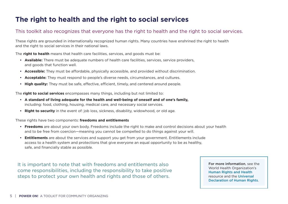## <span id="page-6-0"></span>**The right to health and the right to social services**

#### This toolkit also recognizes that everyone has the right to health and the right to social services.

These rights are grounded in internationally recognized human rights. Many countries have enshrined the right to health and the right to social services in their national laws.

The **right to health** means that health care facilities, services, and goods must be:

- **• Available:** There must be adequate numbers of health care facilities, services, service providers, and goods that function well.
- **• Accessible:** They must be affordable, physically accessible, and provided without discrimination.
- **• Acceptable:** They must respond to people's diverse needs, circumstances, and cultures.
- **• High quality:** They must be safe, effective, efficient, timely, and centered around people.

The **right to social services** encompasses many things, including but not limited to:

- **• A standard of living adequate for the health and well-being of oneself and of one's family,** including: food, clothing, housing, medical care, and necessary social services.
- **• Right to security** in the event of: job loss, sickness, disability, widowhood, or old age.

These rights have two components: **freedoms and entitlements**

- **• Freedoms** are about your own body. Freedoms include the right to make and control decisions about your health and to be free from coercion—meaning you cannot be compelled to do things against your will.
- **• Entitlements** are about the services and support you get from your government. Entitlements include access to a health system and protections that give everyone an equal opportunity to be as healthy, safe, and financially stable as possible.

It is important to note that with freedoms and entitlements also come responsibilities, including the responsibility to take positive steps to protect your own health and rights and those of others.

For more information, see the World Health Organization's [Human Rights and Health](https://www.who.int/news-room/fact-sheets/detail/human-rights-and-health)  resource and the [Universal](https://www.un.org/en/about-us/universal-declaration-of-human-rights)  [Declaration of Human Rights](https://www.un.org/en/about-us/universal-declaration-of-human-rights).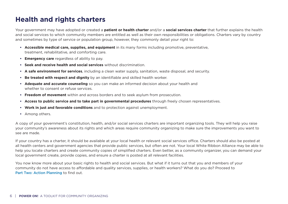## <span id="page-7-0"></span>**Health and rights charters**

Your government may have adopted or created a **patient or health charter** and/or a **social services charter** that further explains the health and social services to which community members are entitled as well as their own responsibilities or obligations. Charters vary by country and sometimes by type of service or population group, however, they commonly detail your right to:

- **• Accessible medical care, supplies, and equipment** in its many forms including promotive, preventative, treatment, rehabilitative, and comforting care.
- **• Emergency care** regardless of ability to pay.
- **• Seek and receive health and social services** without discrimination.
- **• A safe environment for services**, including a clean water supply, sanitation, waste disposal, and security.
- **• Be treated with respect and dignity** by an identifiable and skilled health worker.
- **• Adequate and accurate counseling** so you can make an informed decision about your health and whether to consent or refuse services.
- **• Freedom of movement** within and across borders and to seek asylum from prosecution.
- **• Access to public service and to take part in governmental procedures** through freely chosen representatives.
- **• Work in just and favorable conditions** and to protection against unemployment.
- **•** Among others.

A copy of your government's constitution, health, and/or social services charters are important organizing tools. They will help you raise your community's awareness about its rights and which areas require community organizing to make sure the improvements you want to see are made.

If your country has a charter, it should be available at your local health or relevant social services office. Charters should also be posted at all health centers and government agencies that provide public services, but often are not. Your local White Ribbon Alliance may be able to help you locate charters and create community copies of simplified charters. Even better, as a community organizer, you can demand your local government create, provide copies, and ensure a charter is posted at all relevant facilities.

You now know more about your basic rights to health and social services. But what if it turns out that you and members of your community do not have access to affordable and quality services, supplies, or health workers? What do you do? Proceed to [Part Two: Action Planning](#page-10-0) to find out.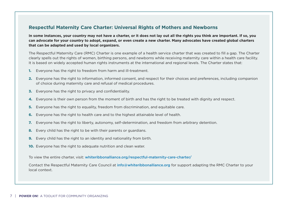#### **Respectful Maternity Care Charter: Universal Rights of Mothers and Newborns**

**In some instances, your country may not have a charter, or it does not lay out all the rights you think are important. If so, you can advocate for your country to adopt, expand, or even create a new charter. Many advocates have created global charters that can be adapted and used by local organizers.** 

The Respectful Maternity Care (RMC) Charter is one example of a health service charter that was created to fill a gap. The Charter clearly spells out the rights of women, birthing persons, and newborns while receiving maternity care within a health care facility. It is based on widely accepted human rights instruments at the international and regional levels. The Charter states that:

- **1.** Everyone has the right to freedom from harm and ill-treatment.
- 2. Everyone has the right to information, informed consent, and respect for their choices and preferences, including companion of choice during maternity care and refusal of medical procedures.
- **3.** Everyone has the right to privacy and confidentiality.
- 4. Everyone is their own person from the moment of birth and has the right to be treated with dignity and respect.
- **5.** Everyone has the right to equality, freedom from discrimination, and equitable care.
- **6.** Everyone has the right to health care and to the highest attainable level of health.
- 7. Everyone has the right to liberty, autonomy, self-determination, and freedom from arbitrary detention.
- 8. Every child has the right to be with their parents or guardians.
- 9. Every child has the right to an identity and nationality from birth.
- **10.** Everyone has the right to adequate nutrition and clean water.

To view the entire charter, visit: [whiteribbonalliance.org/respectful-maternity-care-charter/](https://www.whiteribbonalliance.org/respectful-maternity-care-charter/) 

Contact the Respectful Maternity Care Council at [info@whiteribbonalliance.org](mailto:info%40whiteribbonalliance.org?subject=) for support adapting the RMC Charter to your local context.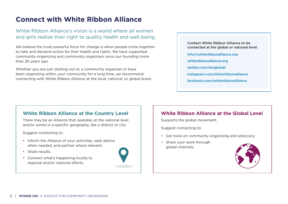## <span id="page-9-0"></span>**Connect with White Ribbon Alliance**

#### White Ribbon Alliance's vision is a world where all women and girls realize their right to quality health and well-being.

We believe the most powerful force for change is when people come together to take and demand action for their health and rights. We have supported community organizing and community organizers since our founding more than 20 years ago.

Whether you are just starting out as a community organizer or have been organizing within your community for a long time, we recommend connecting with White Ribbon Alliance at the local, national, or global levels.

#### Contact White Ribbon Alliance to be connected at the global or national level:

- [info@whiteribbonalliance.org](mailto:info%40whiteribbonalliance.org?subject=)
- [whiteribbonalliance.org](http://www.whiteribbonalliance.org)
- [twitter.com/wraglobal](http://www.twitter.com/wraglobal)
- [instagram.com/whiteribbonalliance](http://www.instagram.com/whiteribbonalliance)
- [facebook.com/whiteribbonalliance](http://www.facebook.com/whiteribbonalliance)

#### **White Ribbon Alliance at the Country Level**

There may be an Alliance that operates at the national level and/or works in a specific geography, like a district or city.

Suggest contacting to:

- Inform the Alliance of your activities, seek advice when needed, and partner where relevant.
- Share results.
- Connect what's happening locally to regional and/or national efforts.



#### **White Ribbon Alliance at the Global Level**

Supports the global movement.

Suggest contacting to:

- Get tools on community organizing and advocacy.
- Share your work through global channels.

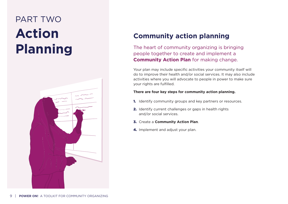## <span id="page-10-0"></span>PART TWO **Action Planning**



## **Community action planning**

The heart of community organizing is bringing people together to create and implement a **Community Action Plan** for making change.

Your plan may include specific activities your community itself will do to improve their health and/or social services. It may also include activities where you will advocate to people in power to make sure your rights are fulfilled.

#### **There are four key steps for community action planning.**

- **1.** Identify community groups and key partners or resources.
- 2. Identify current challenges or gaps in health rights and/or social services.
- 3. Create a **Community Action Plan**.
- 4. Implement and adjust your plan.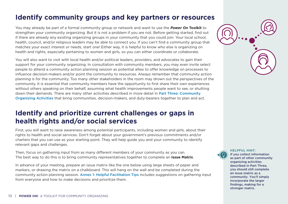## <span id="page-11-0"></span>**Identify community groups and key partners or resources**

You may already be part of a formal community group or network and want to use the *Power On* **Toolkit** to strengthen your community organizing. But it is not a problem if you are not. Before getting started, find out if there are already any existing organizing groups in your community that you could join. Your local school, health, council, and/or religious leaders may be able to connect you. If you can't find a community group that matches your exact interest or needs, start one! Either way, it is helpful to know who else is organizing on health and rights, especially pertaining to women and girls, so you can either coordinate or collaborate.

You will also want to visit with local health and/or political leaders, providers, and advocates to gain their support for your community organizing. In consultation with community members, you may even invite select people to attend a community action planning session as potential allies to offer knowledge on processes to influence decision-makers and/or point the community to resources. Always remember that community action planning is for the community. Too many other stakeholders in the room may drown out the perspectives of the community. It is essential that community members have the opportunity to first share their own experiences without others speaking on their behalf, assuming what health improvements people want to see, or shutting down their demands. There are many other activities described in more detail in Part Three: Community [Organizing Activities](#page-18-0) that bring communities, decision-makers, and duty-bearers together to plan and act.

## **Identify and prioritize current challenges or gaps in health rights and/or social services**

First, you will want to raise awareness among potential participants, including women and girls, about their rights to health and social services. Don't forget about your government's previous commitments and/or charters that you can use as your starting point. They will help guide you and your community to identify relevant gaps and challenges.

Then, focus on gathering input from as many different members of your community as you can. The best way to do this is to bring community representatives together to complete an **Issue Matrix**.

In advance of your meeting, prepare an issue matrix like the one below using large sheets of paper and markers, or drawing the matrix on a chalkboard. This will hang on the wall and be completed during the community action planning session. [Annex 1: Helpful Facilitation Tips](#page-53-0) includes suggestions on gathering input from everyone and how to make decisions and prioritize them.

**HELPFUL HINT:**  If you collect information as part of other community organizing activities described in Part Three, you should still complete an issue matrix as a community. You'll simply incorporate the larger findings, making for a stronger matrix.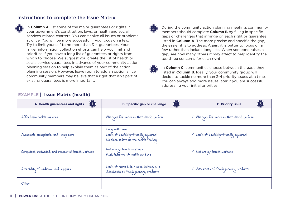#### Instructions to complete the Issue Matrix

**1** In **Column A**, list some of the major guarantees or rights in  $\left(2\right)$ your government's constitution, laws, or health and social services-related charters. You can't solve all issues or problems at once. You will be more successful if you focus on a few. Try to limit yourself to no more than 3-4 guarantees. Your larger information collection efforts can help you limit and prioritize if you have a long list of guarantees or rights from which to choose. We suggest you create the list of health or social service guarantees in advance of your community action planning session to help explain them as part of the action planning session. However, leave room to add an option since community members may believe that a right that isn't part of existing guarantees is more important.

3

During the community action planning meeting, community members should complete **Column B** by filling in specific gaps or challenges that infringe on each right or guarantee listed in **Column A**. The more precise and specific the gap, the easier it is to address. Again, it is better to focus on a few rather than include long lists. When someone raises a gap, see how many others it may affect to help identify the top three concerns for each right.

In **Column C**, communities choose between the gaps they listed in **Column B**. Ideally, your community group will decide to tackle no more than 3-4 priority issues at a time. You can always add more issues later if you are successful addressing your initial priorities.

| (1)<br>A. Health guarantees and rights              | $\bf(2)$<br><b>B. Specific gap or challenge</b>                                                     | (3)<br><b>C. Priority issue</b>                       |
|-----------------------------------------------------|-----------------------------------------------------------------------------------------------------|-------------------------------------------------------|
| Affordable health services                          | Charged for services that should be free                                                            | $\checkmark$ Charged for services that should be free |
| Accessible, acceptable, and timely care             | Long wait times<br>Lack of disability-friendly equipment<br>No clean toilets at the health facility | $\times$ Lack of disability-friendly equipment        |
| Competent, motivated, and respectful health workers | Not enough health workers<br>Rude behavior of health workers                                        | $\checkmark$ Not enough health workers                |
| Availability of medicines and supplies              | Lack of mama kits / safe delivery kits<br>Stockouts of family planning products                     | $\checkmark$ Stockouts of family planning products    |
| Other                                               |                                                                                                     |                                                       |

#### **EXAMPLE | Issue Matrix (health)**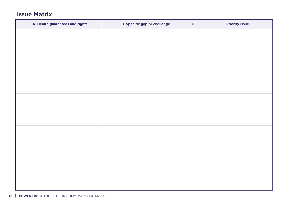### **Issue Matrix**

| A. Health guarantees and rights | <b>B. Specific gap or challenge</b> | <b>Priority issue</b><br>$\mathsf{C}$ . |
|---------------------------------|-------------------------------------|-----------------------------------------|
|                                 |                                     |                                         |
|                                 |                                     |                                         |
|                                 |                                     |                                         |
|                                 |                                     |                                         |
|                                 |                                     |                                         |
|                                 |                                     |                                         |
|                                 |                                     |                                         |
|                                 |                                     |                                         |
|                                 |                                     |                                         |
|                                 |                                     |                                         |
|                                 |                                     |                                         |
|                                 |                                     |                                         |
|                                 |                                     |                                         |
|                                 |                                     |                                         |
|                                 |                                     |                                         |
|                                 |                                     |                                         |
|                                 |                                     |                                         |
|                                 |                                     |                                         |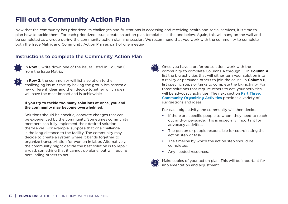## <span id="page-14-0"></span>**Fill out a Community Action Plan**

Now that the community has prioritized its challenges and frustrations in accessing and receiving health and social services, it is time to plan how to tackle them. For each prioritized issue, create an action plan template like the one below. Again, this will hang on the wall and be completed as a group during the community action planning session. We recommend that you work with the community to complete both the Issue Matrix and Community Action Plan as part of one meeting.

#### Instructions to complete the Community Action Plan

2

In **Row 1**, write down one of the issues listed in Column C from the Issue Matrix.

In **Row 2**, the community will list a solution to the challenging issue. Start by having the group brainstorm a few different ideas and then decide together which idea will have the most impact and is achievable.

#### **If you try to tackle too many solutions at once, you and the community may become overwhelmed.**

Solutions should be specific, concrete changes that can be experienced by the community. Sometimes community members can fully implement their desired solution themselves. For example, suppose that one challenge is the long distance to the facility. The community may decide to create a system where it bands together to organize transportation for women in labor. Alternatively, the community might decide the best solution is to repair a road, something that it cannot do alone, but will require persuading others to act.



Once you have a preferred solution, work with the community to complete Columns A through G. In **Column A**, list the big activities that will either turn your solution into a reality or persuade others to join the cause. In **Column B**, list specific steps or tasks to complete the big activity. For those solutions that require others to act, your activities will be advocacy activities. The next section Part Three: [Community Organizing Activities](#page-18-0) provides a variety of suggestions and ideas.

For each big activity, the community will then decide:

- If there are specific people to whom they need to reach out and/or persuade. This is especially important for advocacy activities.
- The person or people responsible for coordinating the action step or task.
- The timeline by which the action step should be completed.
- Any needed resources.



Make copies of your action plan. This will be important for implementation and adjustment.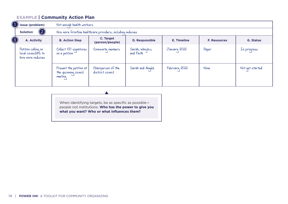#### **EXAMPLE | Community Action Plan**

|            | Issue (problem)                                                  | Not enough health workers                                    |                                        |                              |               |                     |                  |
|------------|------------------------------------------------------------------|--------------------------------------------------------------|----------------------------------------|------------------------------|---------------|---------------------|------------------|
|            | $\bf(2)$<br><b>Solution</b>                                      | Hire more frontline healthcare providers, including midwives |                                        |                              |               |                     |                  |
| $\bigcirc$ | A. Activity                                                      | <b>B. Action Step</b>                                        | C. Target<br>(person/people)           | <b>D. Responsible</b>        | E. Timeline   | <b>F. Resources</b> | <b>G. Status</b> |
|            | Petition calling on<br>local councilors to<br>hire more midwives | Collect 100 signatures<br>on a petition                      | Community members                      | Sarah, Wanjiku,<br>and Faith | January 2022  | Paper               | In progress      |
|            |                                                                  | Present the petition at<br>the upcoming council<br>meeting   | Chairperson of the<br>district council | Sarah and Angela             | February 2022 | <b>None</b>         | Not yet started  |

When identifying targets, be as specific as possible people not institutions. **Who has the power to give you what you want? Who or what influences them?**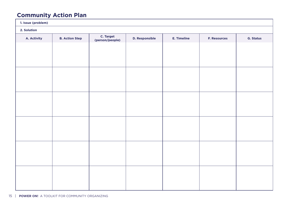## **Community Action Plan**

| 1. Issue (problem) |                       |                              |                       |             |                     |                  |
|--------------------|-----------------------|------------------------------|-----------------------|-------------|---------------------|------------------|
| 2. Solution        |                       |                              |                       |             |                     |                  |
| A. Activity        | <b>B. Action Step</b> | C. Target<br>(person/people) | <b>D. Responsible</b> | E. Timeline | <b>F. Resources</b> | <b>G. Status</b> |
|                    |                       |                              |                       |             |                     |                  |
|                    |                       |                              |                       |             |                     |                  |
|                    |                       |                              |                       |             |                     |                  |
|                    |                       |                              |                       |             |                     |                  |
|                    |                       |                              |                       |             |                     |                  |
|                    |                       |                              |                       |             |                     |                  |
|                    |                       |                              |                       |             |                     |                  |
|                    |                       |                              |                       |             |                     |                  |
|                    |                       |                              |                       |             |                     |                  |
|                    |                       |                              |                       |             |                     |                  |
|                    |                       |                              |                       |             |                     |                  |
|                    |                       |                              |                       |             |                     |                  |
|                    |                       |                              |                       |             |                     |                  |
|                    |                       |                              |                       |             |                     |                  |
|                    |                       |                              |                       |             |                     |                  |
|                    |                       |                              |                       |             |                     |                  |
|                    |                       |                              |                       |             |                     |                  |
|                    |                       |                              |                       |             |                     |                  |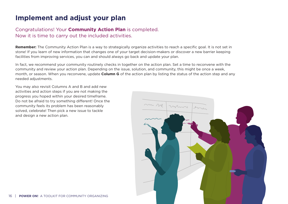## <span id="page-17-0"></span>**Implement and adjust your plan**

#### Congratulations! Your **Community Action Plan** is completed. Now it is time to carry out the included activities.

**Remember:** The Community Action Plan is a way to strategically organize activities to reach a specific goal. It is not set in stone! If you learn of new information that changes one of your target decision-makers or discover a new barrier keeping facilities from improving services, you can and should always go back and update your plan.

In fact, we recommend your community routinely checks in together on the action plan. Set a time to reconvene with the community and review your action plan. Depending on the issue, solution, and community, this might be once a week, month, or season. When you reconvene, update **Column G** of the action plan by listing the status of the action step and any needed adjustments.

You may also revisit Columns A and B and add new activities and action steps if you are not making the progress you hoped within your desired timeframe. Do not be afraid to try something different! Once the community feels its problem has been reasonably solved, celebrate! Then pick a new issue to tackle and design a new action plan.

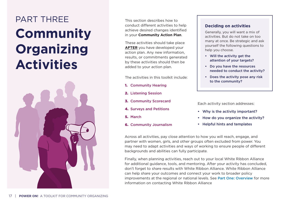## <span id="page-18-0"></span>PART THREE **Community Organizing Activities**



This section describes how to conduct different activities to help achieve desired changes identified in your **Community Action Plan**.

These activities should take place **AFTER** you have developed your action plan. Any new information, results, or commitments generated by these activities should then be added to your action plan.

The activities in this toolkit include:

- 1. Community Hearing
- 2. Listening Session
- 3. Community Scorecard
- 4. Surveys and Petitions
- 5. March
- 6. Community Journalism

#### **Deciding on activities**

Generally, you will want a mix of activities. But do not take on too many at once. Be strategic and ask yourself the following questions to help you choose.

- **•** Will the activity get the attention of your targets?
- **•** Do you have the resources needed to conduct the activity?
- **•** Does the activity pose any risk to the community?

Each activity section addresses:

- **•** Why is the activity important?
- **•** How do you organize the activity?
- **•** Helpful hints and templates

Across all activities, pay close attention to how you will reach, engage, and partner with women, girls, and other groups often excluded from power. You may need to adapt activities and ways of working to ensure people of different backgrounds and abilities can fully participate.

Finally, when planning activities, reach out to your local White Ribbon Alliance for additional guidance, tools, and mentoring. After your activity has concluded, don't forget to share results with White Ribbon Alliance. White Ribbon Alliance can help share your outcomes and connect your work to broader policy improvements at the regional or national levels. See [Part One: Overview](#page-2-0) for more information on contacting White Ribbon Alliance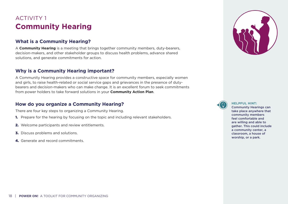## <span id="page-19-0"></span>ACTIVITY 1 **Community Hearing**

#### **What is a Community Hearing?**

A **Community Hearing** is a meeting that brings together community members, duty-bearers, decision-makers, and other stakeholder groups to discuss health problems, advance shared solutions, and generate commitments for action.

#### **Why is a Community Hearing important?**

A Community Hearing provides a constructive space for community members, especially women and girls, to raise health-related or social service gaps and grievances in the presence of dutybearers and decision-makers who can make change. It is an excellent forum to seek commitments from power holders to take forward solutions in your **Community Action Plan**.

#### **How do you organize a Community Hearing?**

There are four key steps to organizing a Community Hearing.

- **1.** Prepare for the hearing by focusing on the topic and including relevant stakeholders.
- 2. Welcome participants and review entitlements.
- **3.** Discuss problems and solutions.
- 4. Generate and record commitments.





#### **HELPFUL HINT:**

Community Hearings can take place anywhere that community members feel comfortable and are willing and able to gather. This could include a community center, a classroom, a house of worship, or a park.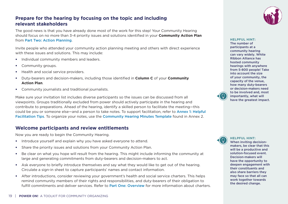

#### **Prepare for the hearing by focusing on the topic and including relevant stakeholders**

The good news is that you have already done most of the work for this step! Your Community Hearing should focus on no more than 3-4 priority issues and solutions identified in your **Community Action Plan** from [Part Two: Action Planning](#page-10-0).

Invite people who attended your community action planning meeting and others with direct experience with these issues and solutions. This may include:

- Individual community members and leaders.
- Community groups.
- Health and social service providers.
- Duty-bearers and decision-makers, including those identified in **Column C** of your **Community Action Plan**.
- Community journalists and traditional journalists.

Make sure your invitation list includes diverse participants so the issues can be discussed from all viewpoints. Groups traditionally excluded from power should actively participate in the hearing and contribute to preparations. Ahead of the hearing, identify a skilled person to facilitate the meeting—this could be you or someone else—and a person to take notes. To support facilitation, refer to [Annex 1: Helpful](#page-53-0)  [Facilitation Tips](#page-53-0). To organize your notes, use the [Community Hearing Minutes Template](#page-58-0) found in Annex 2.

#### **Welcome participants and review entitlements**

Now you are ready to begin the Community Hearing.

- Introduce yourself and explain why you have asked everyone to attend.
- Share the priority issues and solutions from your Community Action Plan.
- Be clear on what you hope will result from the hearing. This might include informing the community at large and generating commitments from duty-bearers and decision-makers to act.
- Ask everyone to briefly introduce themselves and say what they would like to get out of the hearing. Circulate a sign-in sheet to capture participants' names and contact information.
- After introductions, consider reviewing your government's health and social service charters. This helps remind community members of their rights and responsibilities, and duty-bearers of their obligation to fulfill commitments and deliver services. Refer to **[Part One: Overview](#page-2-0)** for more information about charters.

The number of participants at a community hearing can vary widely. White Ribbon Alliance has hosted community hearings with anywhere from 5-800 people! Take into account the size of your community, the capacity of the venue, how many duty-bearers or decision-makers need to be involved and, most importantly, what will have the greatest impact.

**HELPFUL HINT:** 



#### **HELPFUL HINT:**

When inviting decisionmakers, be clear that this will be a productive and solution-focused event. Decision-makers will have the opportunity to deepen engagement with their constituents and also share barriers they may face so that all can work together towards the desired change.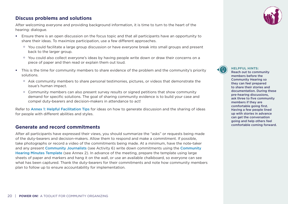#### **Discuss problems and solutions**

After welcoming everyone and providing background information, it is time to turn to the heart of the hearing: dialogue.

- Ensure there is an open discussion on the focus topic and that all participants have an opportunity to share their ideas. To maximize participation, use a few different approaches.
	- o You could facilitate a large group discussion or have everyone break into small groups and present back to the larger group.
	- o You could also collect everyone's ideas by having people write down or draw their concerns on a piece of paper and then read or explain them out loud.
- This is the time for community members to share evidence of the problem and the community's priority solutions.
	- o Ask community members to share personal testimonies, pictures, or videos that demonstrate the issue's human impact.
	- o Community members can also present survey results or signed petitions that show community demand for specific solutions. The goal of sharing community evidence is to build your case and compel duty-bearers and decision-makers in attendance to act!

Refer to [Annex 1: Helpful Facilitation Tips](#page-53-0) for ideas on how to generate discussion and the sharing of ideas for people with different abilities and styles.

#### **Generate and record commitments**

After all participants have expressed their views, you should summarize the "asks" or requests being made of the duty-bearers and decision-makers. Allow them to respond and make a commitment. If possible, take photographs or record a video of the commitments being made. At a minimum, have the note-taker and any present [Community Journalists](#page-46-0) (see Activity 6) write down commitments using the Community [Hearing Minutes Template](#page-58-0) ([see Annex 2](#page-58-0)). In advance of the meeting, prepare the template using large sheets of paper and markers and hang it on the wall, or use an available chalkboard, so everyone can see what has been captured. Thank the duty-bearers for their commitments and note how community members plan to follow up to ensure accountability for implementation.



**HELPFUL HINTS:** 

Reach out to community members before the Community Hearing so they can feel prepared to share their stories and documentation. During these pre-hearing discussions, ask three to five community members if they are comfortable going first. Having a few people lined up with stories in advance can get the conversation going and help others feel comfortable coming forward.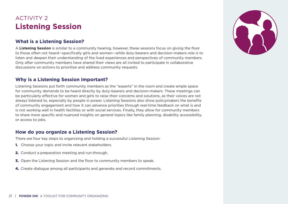## <span id="page-22-0"></span>ACTIVITY 2 **Listening Session**

#### **What is a Listening Session?**

A **Listening Session** is similar to a community hearing, however, these sessions focus on giving the floor to those often not heard—specifically girls and women—while duty-bearers and decision-makers role is to listen and deepen their understanding of the lived experiences and perspectives of community members. Only after community members have shared their views are all invited to participate in collaborative discussions on actions to prioritize and address community requests.

#### **Why is a Listening Session important?**

Listening Sessions put forth community members as the "experts" in the room and create ample space for community demands to be heard directly by duty-bearers and decision-makers. These meetings can be particularly effective for women and girls to raise their concerns and solutions, as their voices are not always listened to, especially by people in power. Listening Sessions also show policymakers the benefits of community engagement and how it can advance priorities through real-time feedback on what is and is not working well in health facilities or with social services. Finally, they allow for community members to share more specific and nuanced insights on general topics like family planning, disability accessibility, or access to jobs.

#### **How do you organize a Listening Session?**

There are four key steps to organizing and holding a successful Listening Session:

- **1.** Choose your topic and invite relevant stakeholders.
- 2. Conduct a preparation meeting and run-through.
- **3.** Open the Listening Session and the floor to community members to speak.
- 4. Create dialogue among all participants and generate and record commitments.

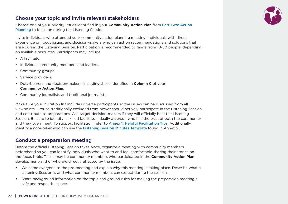#### **Choose your topic and invite relevant stakeholders**

Choose one of your priority issues identified in your **Community Action Plan** from [Part Two: Action](#page-10-0)  [Planning](#page-10-0) to focus on during the Listening Session.

Invite individuals who attended your community action planning meeting, individuals with direct experience on focus issues, and decision-makers who can act on recommendations and solutions that arise during the Listening Session. Participation is recommended to range from 10-30 people, depending on available resources. Participants may include:

- A facilitator.
- Individual community members and leaders.
- Community groups.
- Service providers.
- Duty-bearers and decision-makers, including those identified in **Column C** of your **Community Action Plan**.
- Community journalists and traditional journalists.

Make sure your invitation list includes diverse participants so the issues can be discussed from all viewpoints. Groups traditionally excluded from power should actively participate in the Listening Session and contribute to preparations. Ask target decision-makers if they will officially host the Listening Session. Be sure to identify a skilled facilitator, ideally a person who has the trust of both the community and the government. To support facilitation, refer to [Annex 1: Helpful Facilitation Tips](#page-53-0). Additionally, identify a note-taker who can use the [Listening Session Minutes Template](#page-59-0) found in Annex 2.

#### **Conduct a preparation meeting**

Before the official Listening Session takes place, organize a meeting with community members beforehand so you can identify individuals who want to and feel comfortable sharing their stories on the focus topic. These may be community members who participated in the **Community Action Plan** development/and or who are directly affected by the issue.

- Welcome everyone to the pre-meeting and explain why this meeting is taking place. Describe what a Listening Session is and what community members can expect during the session.
- Share background information on the topic and ground rules for making the preparation meeting a safe and respectful space.

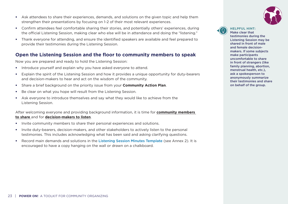- Ask attendees to share their experiences, demands, and solutions on the given topic and help them strengthen their presentations by focusing on 1-2 of their most relevant experiences.
- Confirm attendees feel comfortable sharing their stories, and potentially others' experiences, during the official Listening Session, making clear who else will be in attendance and doing the "listening."
- Thank everyone for attending, and ensure the identified speakers are available and feel prepared to provide their testimonies during the Listening Session.

#### **Open the Listening Session and the floor to community members to speak**

Now you are prepared and ready to hold the Listening Session:

- Introduce yourself and explain why you have asked everyone to attend.
- Explain the spirit of the Listening Session and how it provides a unique opportunity for duty-bearers and decision-makers to hear and act on the wisdom of the community.
- Share a brief background on the priority issue from your **Community Action Plan**.
- Be clear on what you hope will result from the Listening Session.
- Ask everyone to introduce themselves and say what they would like to achieve from the Listening Session.

After welcoming everyone and providing background information, it is time for **community members to share** and for **decision-makers to listen**.

- Invite community members to share their personal experiences and solutions.
- Invite duty-bearers, decision-makers, and other stakeholders to actively listen to the personal testimonies. This includes acknowledging what has been said and asking clarifying questions.
- Record main demands and solutions in the [Listening Session Minutes Template](#page-59-0) (see Annex 2). It is encouraged to have a copy hanging on the wall or drawn on a chalkboard.





#### **HELPFUL HINT:**

Make clear that testimonies during the Listening Session may be shared in front of male and female decisionmakers. If some subjects make participants uncomfortable to share in front of strangers (like family planning, abortion, menstrual health, etc.), ask a spokesperson to anonymously summarize their testimonies and share on behalf of the group.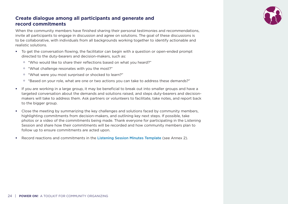

#### **Create dialogue among all participants and generate and record commitments**

When the community members have finished sharing their personal testimonies and recommendations, invite all participants to engage in discussion and agree on solutions. The goal of these discussions is to be collaborative, with individuals from all backgrounds working together to identify actionable and realistic solutions.

- To get the conversation flowing, the facilitator can begin with a question or open-ended prompt directed to the duty-bearers and decision-makers, such as:
	- o "Who would like to share their reflections based on what you heard?"
	- o "What challenge resonates with you the most?"
	- o "What were you most surprised or shocked to learn?"
	- o "Based on your role, what are one or two actions you can take to address these demands?"
- If you are working in a large group, it may be beneficial to break out into smaller groups and have a targeted conversation about the demands and solutions raised, and steps duty-bearers and decisionmakers will take to address them. Ask partners or volunteers to facilitate, take notes, and report back to the bigger group.
- Close the meeting by summarizing the key challenges and solutions faced by community members, highlighting commitments from decision-makers, and outlining key next steps. If possible, take photos or a video of the commitments being made. Thank everyone for participating in the Listening Session and share how their commitments will be recorded and how community members plan to follow up to ensure commitments are acted upon.
- Record reactions and commitments in the [Listening Session Minutes Template](#page-59-0) (see Annex 2).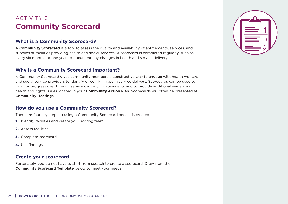## <span id="page-26-0"></span>ACTIVITY 3 **Community Scorecard**

#### **What is a Community Scorecard?**

A **Community Scorecard** is a tool to assess the quality and availability of entitlements, services, and supplies at facilities providing health and social services. A scorecard is completed regularly, such as every six months or one year, to document any changes in health and service delivery.

#### **Why is a Community Scorecard important?**

A Community Scorecard gives community members a constructive way to engage with health workers and social service providers to identify or confirm gaps in service delivery. Scorecards can be used to monitor progress over time on service delivery improvements and to provide additional evidence of health and rights issues located in your **Community Action Plan**. Scorecards will often be presented at **Community Hearings**.

#### **How do you use a Community Scorecard?**

There are four key steps to using a Community Scorecard once it is created.

- 1. Identify facilities and create your scoring team.
- 2. Assess facilities.
- 3. Complete scorecard.
- 4. Use findings.

#### **Create your scorecard**

Fortunately, you do not have to start from scratch to create a scorecard. Draw from the **Community Scorecard Template** below to meet your needs.

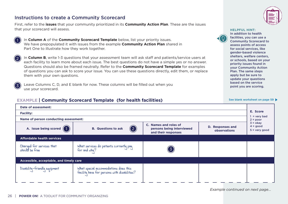#### Instructions to create a Community Scorecard

First, refer to the **issues** that your community prioritized in its **Community Action Plan**. These are the issues that your scorecard will assess.



In **Column A** of the **Community Scorecard Template** below, list your priority issues. We have prepopulated it with issues from the example **Community Action Plan** shared in Part One to illustrate how they work together.



3

In **Column B**, write 1-3 questions that your assessment team will ask staff and patients/service users at each facility to learn more about each issue. The best questions do not have a simple yes or no answer. Questions should also be framed neutrally. Refer to the **Community Scorecard Template** for examples of questions you can ask to score your issue. You can use these questions directly, edit them, or replace them with your own questions.

Leave Columns C, D, and E blank for now. These columns will be filled out when you use your scorecard.



**HELPFUL HINT:**  In addition to health facilities, you can use a Community Scorecard to assess points of access for social services, like gender-based violence shelters, welfare centers, or schools, based on your priority issues found in your Community Action Plan. The same steps apply but be sure to update your questions based on the service point you are scoring.

[See blank worksheet on page 59](#page-60-0)

#### **EXAMPLE | Community Scorecard Template (for health facilities)**

| Date of assessment:                                                                                                                                                               |                                                                                       |  |  |                            |
|-----------------------------------------------------------------------------------------------------------------------------------------------------------------------------------|---------------------------------------------------------------------------------------|--|--|----------------------------|
| <b>Facility:</b>                                                                                                                                                                  |                                                                                       |  |  | E. Score                   |
| Name of person conducting assessment:                                                                                                                                             |                                                                                       |  |  | $=$ very bad<br>$2 = poor$ |
| C. Names and roles of<br>D. Responses and<br>A. Issue being scored $(1)$<br>(2)<br><b>B.</b> Questions to ask<br>persons being interviewed<br>observations<br>and their responses |                                                                                       |  |  |                            |
| <b>Affordable health services</b>                                                                                                                                                 |                                                                                       |  |  |                            |
| Charged for services that<br>should be free                                                                                                                                       | What services do patients currently pay<br>for and why?                               |  |  |                            |
| Accessible, acceptable, and timely care                                                                                                                                           |                                                                                       |  |  |                            |
| Disability-friendly equipment                                                                                                                                                     | What special accommodations does this<br>facility have for persons with disabilities? |  |  |                            |

*Example continued on next page...*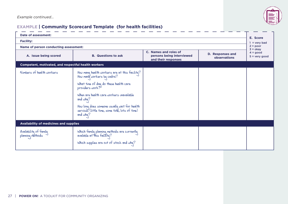

#### **EXAMPLE | Community Scorecard Template (for health facilities)**

| Date of assessment:                                                                                                                                                  |                                                                                                                        |  |  |                                            |  |  |
|----------------------------------------------------------------------------------------------------------------------------------------------------------------------|------------------------------------------------------------------------------------------------------------------------|--|--|--------------------------------------------|--|--|
| <b>Facility:</b>                                                                                                                                                     |                                                                                                                        |  |  |                                            |  |  |
| Name of person conducting assessment:                                                                                                                                |                                                                                                                        |  |  | $1 =$ very bad<br>$2 = poor$<br>$3 = okay$ |  |  |
| C. Names and roles of<br>D. Responses and<br>A. Issue being scored<br><b>B.</b> Questions to ask<br>persons being interviewed<br>observations<br>and their responses |                                                                                                                        |  |  |                                            |  |  |
| Competent, motivated, and respectful health workers                                                                                                                  |                                                                                                                        |  |  |                                            |  |  |
| Numbers of health workers                                                                                                                                            | How many health workers are at this facility?<br>How many workers by cadre?                                            |  |  |                                            |  |  |
|                                                                                                                                                                      | What time of day do these health care<br>providers work?                                                               |  |  |                                            |  |  |
|                                                                                                                                                                      | When are health care workers unavailable<br>and $whq?$                                                                 |  |  |                                            |  |  |
|                                                                                                                                                                      | How long does someone usually wait for health<br>services (little time, some time, lots of time)<br>and $whq$ ?        |  |  |                                            |  |  |
| <b>Availability of medicines and supplies</b>                                                                                                                        |                                                                                                                        |  |  |                                            |  |  |
| Availability of family<br>planning methods                                                                                                                           | Which family planning methods are currently<br>available at this facility?<br>Which supplies are out of stock and why? |  |  |                                            |  |  |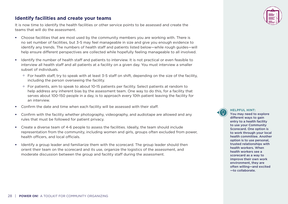#### **Identify facilities and create your teams**

It is now time to identify the health facilities or other service points to be assessed and create the teams that will do the assessment.

- Choose facilities that are most used by the community members you are working with. There is no set number of facilities, but 3-5 may feel manageable in size and give you enough evidence to identify any trends. The numbers of health staff and patients listed below—while rough guides—will help ensure different perspectives are collected while hopefully feeling manageable to all involved.
- Identify the number of health staff and patients to interview. It is not practical or even feasible to interview all health staff and all patients at a facility on a given day. You must interview a smaller subset of individuals.
	- $\circ$  For health staff, try to speak with at least 3-5 staff on shift, depending on the size of the facility, including the person overseeing the facility.
	- o For patients, aim to speak to about 10-15 patients per facility. Select patients at random to help address any inherent bias by the assessment team. One way to do this, for a facility that serves about 100-150 people in a day, is to approach every 10th patient leaving the facility for an interview.
- Confirm the date and time when each facility will be assessed with their staff.
- Confirm with the facility whether photography, videography, and audiotape are allowed and any rules that must be followed for patient privacy.
- Create a diverse team of 4-6 people to assess the facilities. Ideally, the team should include representation from the community, including women and girls, groups often excluded from power, health officers, and local officials.
- Identify a group leader and familiarize them with the scorecard. The group leader should then orient their team on the scorecard and its use, organize the logistics of the assessment, and moderate discussion between the group and facility staff during the assessment.



**HELPFUL HINT:**  You may need to explore different ways to gain entry to a health facility to use your Community Scorecard. One option is to work through your local health committee. Another option is to use personal, trusted relationships with health workers. When health workers see a scorecard as a way to improve their own work environment, they are often willing—and excited —to collaborate.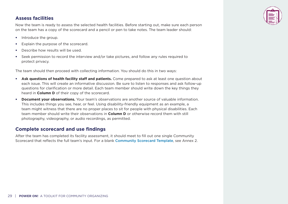#### **Assess facilities**

Now the team is ready to assess the selected health facilities. Before starting out, make sure each person on the team has a copy of the scorecard and a pencil or pen to take notes. The team leader should:

- Introduce the group.
- Explain the purpose of the scorecard.
- Describe how results will be used.
- Seek permission to record the interview and/or take pictures, and follow any rules required to protect privacy.

The team should then proceed with collecting information. You should do this in two ways:

- **Ask questions of health facility staff and patients.** Come prepared to ask at least one question about each issue. This will create an informative discussion. Be sure to listen to responses and ask follow-up questions for clarification or more detail. Each team member should write down the key things they heard in **Column D** of their copy of the scorecard.
- **Document your observations.** Your team's observations are another source of valuable information. This includes things you see, hear, or feel. Using disability-friendly equipment as an example, a team might witness that there are no proper places to sit for people with physical disabilities. Each team member should write their observations in **Column D** or otherwise record them with still photography, videography, or audio recordings, as permitted.

#### **Complete scorecard and use findings**

After the team has completed its facility assessment, it should meet to fill out one single Community Scorecard that reflects the full team's input. For a blank [Community Scorecard Template](#page-60-0), see Annex 2.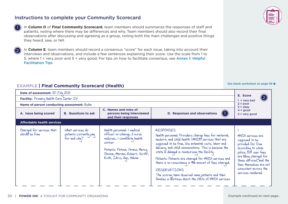#### Instructions to complete your Community Scorecard

1

 $\mathbf{C}$ 

In **Column D** of **Final Community Scorecard**, team members should summarize the responses of staff and patients, noting where there may be differences and why. Team members should also record their final observations after discussing and agreeing as a group, noting both the main challenges and positive things they heard, saw, or felt.

In **Column E**, team members should record a consensus "score" for each issue, taking into account their interviews and observations, and include a few sentences explaining their score. Use the scale from 1 to 5, where 1 = very poor and 5 = very good. For tips on how to facilitate consensus, see [Annex 1: Helpful](#page-53-0)  [Facilitation Tips](#page-53-0).

#### **EXAMPLE | Final Community Scorecard (Health)**

**Date of assessment:**  $20 \text{ U}$ uly  $2021$  $1 =$  very bad  $2 = poor$  $3 = okav$  $4 = good$  $5 =$  very good **Facility:** Primary Health Care Center IV **Name of person conducting assessment:** Aisha **A. Issue being scored B. Questions to ask C. Names and roles of persons being interviewed and their responses D. Responses and observations Affordable health services** Charged for services that should be free What services do patients currently pay for and why? Health personnel: 1 medical officer-in-charge, 2 nurse midwives, I community health worker Patients: Fatima, Grace, Mercy, Chioma, Mariam, Robert, Victor, Ruth, Idris, Ayo, Halima RESPONSES Health personnel: Providers charge fees for maternal, newborn, and child health (MNCH) services that are supposed to be free, like antenatal visits, labor and delivery, and child immunizations. This is because the state is delayed in reimbursing the facility. Patients: Patients are charged for MNCH services and there is no consistency in the amount of fees charged. **OBSERVATTONS** The scoring team observed many patients and their families in distress about the costs of MNCH services. 1 MNCH services are supposed to be provided for free according to state policy. But user fees are being charged for these services, and the fees themselves are not consistent across the services rendered.  $(1)$ 2



[See blank worksheet on page 59](#page-60-0)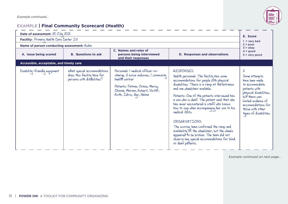

#### **EXAMPLE | Final Community Scorecard (Health)**

| Date of assessment: 20 July 2021                                                                                                                                         |                                                                                          |                                                                                                                                                                                              |                                                                                                                                                                                                                                                                                                                                                                                                                                                                                                                                                                                                                                             |                                                                                                                                                                                                                                    |  |
|--------------------------------------------------------------------------------------------------------------------------------------------------------------------------|------------------------------------------------------------------------------------------|----------------------------------------------------------------------------------------------------------------------------------------------------------------------------------------------|---------------------------------------------------------------------------------------------------------------------------------------------------------------------------------------------------------------------------------------------------------------------------------------------------------------------------------------------------------------------------------------------------------------------------------------------------------------------------------------------------------------------------------------------------------------------------------------------------------------------------------------------|------------------------------------------------------------------------------------------------------------------------------------------------------------------------------------------------------------------------------------|--|
| Facility: Primary Health Care Center IV                                                                                                                                  |                                                                                          |                                                                                                                                                                                              |                                                                                                                                                                                                                                                                                                                                                                                                                                                                                                                                                                                                                                             |                                                                                                                                                                                                                                    |  |
| Name of person conducting assessment: Aisha                                                                                                                              |                                                                                          |                                                                                                                                                                                              |                                                                                                                                                                                                                                                                                                                                                                                                                                                                                                                                                                                                                                             | $2 = poor$<br>$3 = okay$                                                                                                                                                                                                           |  |
| C. Names and roles of<br><b>D. Responses and observations</b><br>A. Issue being scored<br><b>B.</b> Questions to ask<br>persons being interviewed<br>and their responses |                                                                                          |                                                                                                                                                                                              |                                                                                                                                                                                                                                                                                                                                                                                                                                                                                                                                                                                                                                             | $4 = good$<br>$5 = very good$                                                                                                                                                                                                      |  |
| Accessible, acceptable, and timely care                                                                                                                                  |                                                                                          |                                                                                                                                                                                              |                                                                                                                                                                                                                                                                                                                                                                                                                                                                                                                                                                                                                                             |                                                                                                                                                                                                                                    |  |
| Disability-friendly equipment                                                                                                                                            | What special accommodations<br>does this facility have for<br>persons with disabilities? | Personnel: I medical officer-in-<br>charge, 2 nurse midwives, I community<br>health worker<br>Patients: Fatima, Grace, Mercy,<br>Chioma, Mariam, Robert, Victor,<br>Ruth, Idris, Ayo, Halima | <b>RESPONSES</b><br>Health personnel: The facility has some<br>accommodations for people with physical<br>disabilities. There is a ramp at the entrance<br>and one wheelchair available.<br>Patients: One of the patients interviewed has<br>a son who is deaf. The patient said that she<br>has never encountered a staff who knows<br>how to sign when accompanying her son to his<br>medical visits.<br><b>OBSERVATIONS</b><br>The scoring team confirmed the ramp and<br>availability of the wheelchair, but the wheels<br>appeared to be broken. The team did not<br>observe any special accommodations for blind<br>or deaf patients. | $\boldsymbol{\lambda}$<br>Some attempts<br>have been made<br>to accommodate<br>patients with<br>physical disabilities,<br>but there was<br>limited evidence of<br>accommodations for<br>those with other<br>types of disabilities. |  |

*Example continued on next page...*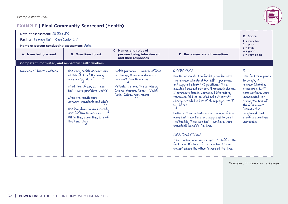

### **EXAMPLE | Final Community Scorecard (Health)**

| Date of assessment: 20 July 2021                           |                                                                                                                                                                                                                                                                                                                          |                                                                                                                                                                                                     |                                                                                                                                                                                                                                                                                                                                                                                                                                                                                                                                                                                                                                                                                                                          | E. Score                                                                                                                                                                                                                                     |
|------------------------------------------------------------|--------------------------------------------------------------------------------------------------------------------------------------------------------------------------------------------------------------------------------------------------------------------------------------------------------------------------|-----------------------------------------------------------------------------------------------------------------------------------------------------------------------------------------------------|--------------------------------------------------------------------------------------------------------------------------------------------------------------------------------------------------------------------------------------------------------------------------------------------------------------------------------------------------------------------------------------------------------------------------------------------------------------------------------------------------------------------------------------------------------------------------------------------------------------------------------------------------------------------------------------------------------------------------|----------------------------------------------------------------------------------------------------------------------------------------------------------------------------------------------------------------------------------------------|
| Facility: Primary Health Care Center IV                    |                                                                                                                                                                                                                                                                                                                          |                                                                                                                                                                                                     |                                                                                                                                                                                                                                                                                                                                                                                                                                                                                                                                                                                                                                                                                                                          |                                                                                                                                                                                                                                              |
| Name of person conducting assessment: Aisha                |                                                                                                                                                                                                                                                                                                                          |                                                                                                                                                                                                     |                                                                                                                                                                                                                                                                                                                                                                                                                                                                                                                                                                                                                                                                                                                          | $1 =$ very bad<br>$2 = poor$                                                                                                                                                                                                                 |
| A. Issue being scored                                      | $3 = okay$<br>C. Names and roles of<br><b>B.</b> Questions to ask<br>persons being interviewed<br><b>D. Responses and observations</b><br>and their responses                                                                                                                                                            |                                                                                                                                                                                                     | $4 = good$<br>$5 = very good$                                                                                                                                                                                                                                                                                                                                                                                                                                                                                                                                                                                                                                                                                            |                                                                                                                                                                                                                                              |
| <b>Competent, motivated, and respectful health workers</b> |                                                                                                                                                                                                                                                                                                                          |                                                                                                                                                                                                     |                                                                                                                                                                                                                                                                                                                                                                                                                                                                                                                                                                                                                                                                                                                          |                                                                                                                                                                                                                                              |
| Numbers of health workers                                  | How many health workers are<br>at this Facility? How many<br>workers by codre?<br>What time of day do these<br>health care providers work?<br>When are health care<br>workers unavailable and why?<br>How long does someone usually<br>wait for health services<br>(little time, some time, lots of<br>time) and $whq$ ? | Health personnel: I medical officer-<br>in-charge, 2 nurse midwives, I<br>community health worker<br>Patients: Fatima, Grace, Mercy,<br>Chioma, Mariam, Robert, Victor,<br>Ruth, Idris, Ayo, Halima | <b>RESPONSES</b><br>Health personnel: The facility complies with<br>the minimum standard for health personnel<br>and support staff (23 positions). This<br>includes I medical officer, 4 nurses/midwives,<br>3 community health workers, I laboratory<br>technician, and so on (Medical officer-in $\geq$<br>charge provided a list of all employed staff<br>by codre).<br>Patients: The patients are not aware of how<br>many health workers are supposed to be at<br>the facility. They say health workers were<br>unavailable some of the time.<br><b>OBSERVATIONS</b><br>The scoring team saw or met $17$ staff at the<br>facility on its tour of the premise. It was<br>unclear where the other 6 were at the time. | 3<br>The facility appears<br>to comply with<br>minimum staffing<br>standards, but<br>some workers were<br>unaccounted for<br>during the time of<br>the assessment.<br>Patients also<br>complained that<br>staff is sometimes<br>unavailable. |

*Example continued on next page...*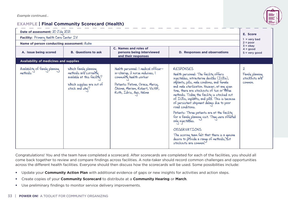*Example continued...*

#### **EXAMPLE | Final Community Scorecard (Health)**



| Date of assessment: 20 July 2021            |                                                                                                                              |                                                                                                                                                                                                     |                                                                                                                                                                                                                                                                                                                                                                                                                                                                                                                                                                                                                                                                                        | E. Score                                                              |
|---------------------------------------------|------------------------------------------------------------------------------------------------------------------------------|-----------------------------------------------------------------------------------------------------------------------------------------------------------------------------------------------------|----------------------------------------------------------------------------------------------------------------------------------------------------------------------------------------------------------------------------------------------------------------------------------------------------------------------------------------------------------------------------------------------------------------------------------------------------------------------------------------------------------------------------------------------------------------------------------------------------------------------------------------------------------------------------------------|-----------------------------------------------------------------------|
| Facility: Primary Health Care Center IV     |                                                                                                                              |                                                                                                                                                                                                     |                                                                                                                                                                                                                                                                                                                                                                                                                                                                                                                                                                                                                                                                                        | $1 =$ very bad                                                        |
| Name of person conducting assessment: Aisha |                                                                                                                              |                                                                                                                                                                                                     |                                                                                                                                                                                                                                                                                                                                                                                                                                                                                                                                                                                                                                                                                        | $2 = poor$<br>$3 = okay$                                              |
| A. Issue being scored                       | C. Names and roles of<br><b>B.</b> Questions to ask<br>persons being interviewed<br>and their responses                      |                                                                                                                                                                                                     | D. Responses and observations                                                                                                                                                                                                                                                                                                                                                                                                                                                                                                                                                                                                                                                          | $4 = good$<br>$5 = very good$                                         |
| Availability of medicines and supplies      |                                                                                                                              |                                                                                                                                                                                                     |                                                                                                                                                                                                                                                                                                                                                                                                                                                                                                                                                                                                                                                                                        |                                                                       |
| Availability of family planning<br>methods  | Which family planning<br>methods are currently<br>available at this facility?<br>Which supplies are out of<br>stock and why? | Health personnel: I medical officer-<br>in-charge, 2 nurse midwives, I<br>community health worker<br>Patients: Fatima, Grace, Mercy,<br>Chioma, Mariam, Robert, Victor,<br>Ruth, Idris, Ayo, Halima | <b>RESPONSES</b><br>Health personnel: The facility offers<br>injectables, intrauterine devices (IUDs),<br>implants, pills, male condoms, and female<br>and male sterilization. However, at any given<br>time, there are stockouts of two or three<br>methods. Today the facility is stocked out<br>of IUDs, implants, and pills. This is because<br>of persistent shipment delays due to poor<br>road conditions.<br>Patients: Three patients are at the facility<br>for a family planning visit. They were offered<br>only injectables.<br><b>OBSERVATIONS</b><br>The scoring team felt that there is a genuine<br>desire to provide a range of methods, but<br>stockouts are common. | $\boldsymbol{\lambda}$<br>Family planning<br>stockouts are<br>common. |

Congratulations! You and the team have completed a scorecard. After scorecards are completed for each of the facilities, you should all come back together to review and compare findings across facilities. A note-taker should record common challenges and opportunities across the different health facilities. Everyone should then discuss how the scorecards will be used. Some possibilities include:

- Update your **Community Action Plan** with additional evidence of gaps or new insights for activities and action steps.
- Create copies of your **Community Scorecard** to distribute at a **Community Hearing** or **March**.
- Use preliminary findings to monitor service delivery improvements.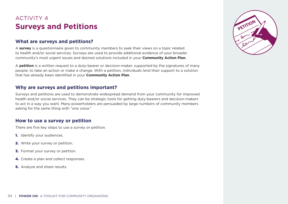## <span id="page-35-0"></span>ACTIVITY 4 **Surveys and Petitions**

#### **What are surveys and petitions?**

A **survey** is a questionnaire given to community members to seek their views on a topic related to health and/or social services. Surveys are used to provide additional evidence of your broader community's most urgent issues and desired solutions included in your **Community Action Plan**.

A **petition** is a written request to a duty-bearer or decision-maker, supported by the signatures of many people, to take an action or make a change. With a petition, individuals lend their support to a solution that has already been identified in your **Community Action Plan**.

#### **Why are surveys and petitions important?**

Surveys and petitions are used to demonstrate widespread demand from your community for improved health and/or social services. They can be strategic tools for getting duty-bearers and decision-makers to act in a way you want. Many powerholders are persuaded by large numbers of community members asking for the same thing with "one voice."

#### **How to use a survey or petition**

There are five key steps to use a survey or petition.

- **1.** Identify your audiences.
- 2. Write your survey or petition.
- **3.** Format your survey or petition.
- 4. Create a plan and collect responses.
- **5.** Analyze and share results.

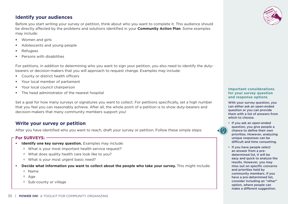#### **Identify your audiences**

Before you start writing your survey or petition, think about who you want to complete it. This audience should be directly affected by the problems and solutions identified in your **Community Action Plan**. Some examples may include:

- Women and girls
- Adolescents and young people
- Refugees
- Persons with disabilities

For petitions, in addition to determining who you want to sign your petition, you also need to identify the dutybearers or decision-makers that you will approach to request change. Examples may include:

- County or district health officers
- Your local member of parliament
- Your local council chairperson
- The head administrator of the nearest hospital

Set a goal for how many surveys or signatures you want to collect. For petitions specifically, set a high number that you feel you can reasonably achieve. After all, the whole point of a petition is to show duty-bearers and decision-makers that many community members support you!

#### **Write your survey or petition**

After you have identified who you want to reach, draft your survey or petition. Follow these simple steps:

#### **For SURVEYS:**

- **Identify one key survey question.** Examples may include:
	- o What is your most important health service request?
	- o What does quality health care look like to you?
	- o What is your most urgent basic need?
- **Decide what information you want to collect about the people who take your survey.** This might include:
	- o Name
	- o Age
	- o Sub-county or village



#### **Important considerations for your survey question and response options**

With your survey question, you can either ask an open-ended question or you can provide them with a list of answers from which to choose.



• If you ask an open-ended question, you give people a chance to define their own priorities. However, analyzing unique responses can be difficult and time consuming.

• If you have people select an answer from a predetermined list, it will be easy and quick to analyze the results. However, you may miss out on specific concerns and priorities held by community members. If you have a pre-determined list, consider including an "other" option, where people can make a different suggestion.

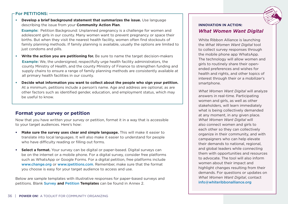#### **For PETITIONS:**

• **Develop a brief background statement that summarizes the issue.** Use language describing the issue from your **Community Action Plan**.

**Example:** Petition Background: Unplanned pregnancy is a challenge for women and adolescent girls in our county. Many women want to prevent pregnancy or space their births. But when they visit the nearest health facility, women often find stockouts of family planning methods. If family planning is available, usually the options are limited to just condoms and pills.

- **Write the action you are petitioning for.** Be sure to name the target decision-makers **Example:** We, the undersigned, respectfully urge health facility administrators, the county Ministry of Health, and the county Ministry of Finance to strengthen funding and supply chains to ensure a range of family planning methods are consistently available at all primary health facilities in our county.
- **Decide what information you want to collect about the people who sign your petition.**  At a minimum, petitions include a person's name. Age and address are optional, as are other factors such as identified gender, education, and employment status, which may be useful to know.

#### **Format your survey or petition**

Now that you have written your survey or petition, format it in a way that is accessible to your target audiences. Here's how:

- **Make sure the survey uses clear and simple language.** This will make it easier to translate into local languages. It will also make it easier to understand for people who have difficulty reading or filling out forms.
- **Select a format.** Your survey can be digital or paper-based. Digital surveys can be on the internet or a mobile phone. For a digital survey, consider free platforms such as WhatsApp or Google Forms. For a digital petition, free platforms include [www.change.org](http://www.change.org) or [www.ipetitions.com](http://www.ipetitions.com). Remember, make sure that the format you choose is easy for your target audience to access and use.

Below are sample templates with illustrative responses for paper-based surveys and petitions. Blank [Survey](#page-61-0) **and** [Petition](#page-62-0) **Templates** can be found in Annex 2.

#### **INNOVATION IN ACTION:** *What Women Want Digital*

White Ribbon Alliance is launching the *What Women Want Digital* tool to collect survey responses through the mobile phone app WhatsApp. The technology will allow women and girls to routinely share their openended preferences and wishes for health and rights, and other topics of interest through their or a mobilizer's smartphone.

*What Women Want Digital* will analyze answers in real-time. Participating women and girls, as well as other stakeholders, will learn immediately what is being collectively demanded at any moment, in any given place. *What Women Want Digital* will also connect women and girls to each other so they can collectively organize in their community, and with campaigners who can help elevate their demands to national, regional, and global leaders while connecting them with opportunities and resources to advocate. The tool will also inform women about their impact and highlight changes resulting from their demands. For questions or updates on *What Women Want Digital*, contact [info@whiteribbonalliance.org](mailto:info%40whiteribbonalliance.org?subject=)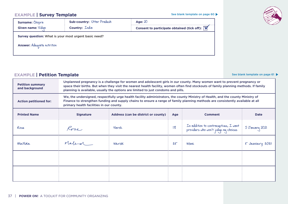[See blank template on page 60](#page-61-0)

#### **EXAMPLE | Survey Template**

| Surname: Chopra                                                                            | Sub-country: Uttar Pradesh | Age: $20$                                                        |
|--------------------------------------------------------------------------------------------|----------------------------|------------------------------------------------------------------|
| Given name: Vidua                                                                          | Country: <i>Lndia</i>      | Consent to participate obtained (tick off): $\boxed{\mathbf{V}}$ |
| Survey question: What is your most urgent basic need?<br><b>Answer:</b> Adequate nutrition |                            |                                                                  |

#### **EXAMPLE | Petition Template**

**Petition summary and background** Unplanned pregnancy is a challenge for women and adolescent girls in our county. Many women want to prevent pregnancy or space their births. But when they visit the nearest health facility, women often find stockouts of family planning methods. If family planning is available, usually the options are limited to just condoms and pills. **Action petitioned for:** We, the undersigned, respectfully urge health facility administrators, the county Ministry of Health, and the county Ministry of Finance to strengthen funding and supply chains to ensure a range of family planning methods are consistently available at all primary health facilities in our county. **Printed Name Signature Address (can be district or county) Age Comment Comment Date** Rose Narok <sup>18</sup> In addition to contraceptives, I want providers who won't judge my choices 5 January 2021 Rose Rose Narok 18 In addition to contraceptives, I want<br>providers who won't judge my choices 5 January 2021<br>Matilda March Narok 25 Mone 5 January 2021



See blank template on page 61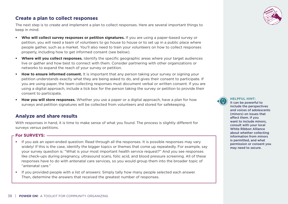#### **Create a plan to collect responses**

The next step is to create and implement a plan to collect responses. Here are several important things to keep in mind:

- **Who will collect survey responses or petition signatures.** If you are using a paper-based survey or petition, you will need a team of volunteers to go house to house or to set up in a public place where people gather, such as a market. You'll also need to train your volunteers on how to collect responses properly, including how to get informed consent (see below).
- **Where will you collect responses.** Identify the specific geographic areas where your target audiences live or gather and how best to connect with them. Consider partnering with other organizations or networks to expand the reach of your survey or petition.
- **How to ensure informed consent.** It is important that any person taking your survey or signing your petition understands exactly what they are being asked to do, and gives their consent to participate. If you are using paper, the team collecting responses must document verbal or written consent. If you are using a digital approach, include a tick box for the person taking the survey or petition to provide their consent to participate.
- **How you will store responses.** Whether you use a paper or a digital approach, have a plan for how surveys and petition signatures will be collected from volunteers and stored for safekeeping.

#### **Analyze and share results**

With responses in hand, it is time to make sense of what you found. The process is slightly different for surveys versus petitions.

#### **For SURVEYS:**

- If you ask an open-ended question: Read through all the responses. It is possible responses may vary widely! If this is the case, identify the bigger topics or themes that come up repeatedly. For example, say your survey question is: "What is your most important health service request?" And you see responses like check-ups during pregnancy, ultrasound scans, folic acid, and blood pressure screening. All of these responses have to do with antenatal care services, so you would group them into the broader topic of "antenatal care."
- If you provided people with a list of answers: Simply tally how many people selected each answer. Then, determine the answers that received the greatest number of responses.

**HELPFUL HINT:**  It can be powerful to include the perspectives and voices of adolescents (minors) on issues that affect them. If you want to include minors, consult with your local White Ribbon Alliance about whether collecting information from minors is permitted, and what permission or consent you may need to secure.

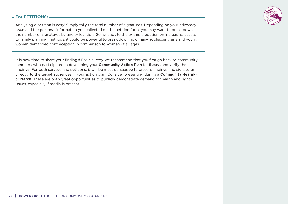

#### **For PETITIONS:**

Analyzing a petition is easy! Simply tally the total number of signatures. Depending on your advocacy issue and the personal information you collected on the petition form, you may want to break down the number of signatures by age or location. Going back to the example petition on increasing access to family planning methods, it could be powerful to break down how many adolescent girls and young women demanded contraception in comparison to women of all ages.

It is now time to share your findings! For a survey, we recommend that you first go back to community members who participated in developing your **Community Action Plan** to discuss and verify the findings. For both surveys and petitions, it will be most persuasive to present findings and signatures directly to the target audiences in your action plan. Consider presenting during a **Community Hearing** or **March**. These are both great opportunities to publicly demonstrate demand for health and rights issues, especially if media is present.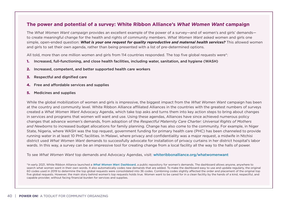#### **The power and potential of a survey: White Ribbon Alliance's** *What Women Want* **campaign**

The *What Women Want campaign* provides an excellent example of the power of a survey—and of women's and girls' demands to create meaningful change for the health and rights of community members. *What Women Want* asked women and girls one simple, open-ended question: *What is your one request for quality reproductive and maternal health services?* This allowed women and girls to set their own agenda, rather than being presented with a list of pre-determined options.

All told, more than one million women and girls from 114 countries responded. The top five global requests were\*:

- 1. Increased, full-functioning, and close health facilities, including water, sanitation, and hygiene (WASH)
- 2. Increased, competent, and better supported health care workers
- 3. Respectful and dignified care
- 4. Free and affordable services and supplies
- 5. Medicines and supplies

While the global mobilization of women and girls is impressive, the biggest impact from the *What Women Want* campaign has been at the country and community level. White Ribbon Alliance affiliated Alliances in the countries with the greatest numbers of surveys created a *What Women Want* Advocacy Agenda, which take top asks and turns them into key action steps to bring about changes in services and programs that women will want and use. Using these agendas, Alliances have since achieved numerous policy changes that advance women's demands, from adoption of the *Respectful Maternity Care Charter: Universal Rights of Mothers and Newborns* to increased budget allocations for family planning. Change has also come to the community. For example, in Niger State, Nigeria, where WASH was the top request, government funding for primary health care (PHC) has been channeled to provide running water in at least 10 PHC facilities. In Malawi, where privacy and confidentiality was a major request, a midwife in Ntchisi district used *What Women Want* demands to successfully advocate for installation of privacy curtains in her district hospital's labor wards. In this way, a survey can be an impressive tool for creating change from a local facility all the way to the halls of power.

To see *What Women Want* top demands and Advocacy Agendas, visit: [whiteribbonalliance.org/whatwomenwant](http://www.whiteribbonalliance.org/whatwomenwant) 

\*In early 2021, White Ribbon Alliance launched a *[What Women Wan](https://www.whiteribbonalliance.org/dashboard/)*t Dashboard, a public repository for women's demands. The dashboard allows anyone, anywhere to search what women want in their own words. It also automatically codes new demands that are added. To make the dashboard easy to use and update regularly, the original 60 codes used in 2019 to determine the top global requests were consolidated into 36 codes. Combining codes slightly affected the order and placement of the original top five global requests. However, the main story behind women's top requests holds true. Women want to be cared for in a clean facility by the hands of a kind, respectful, and capable provider, without facing financial burden for services and supplies.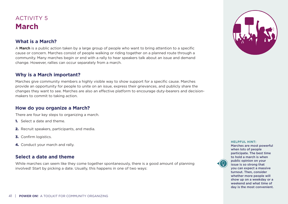## <span id="page-42-0"></span>ACTIVITY 5 **March**

#### **What is a March?**

A **March** is a public action taken by a large group of people who want to bring attention to a specific cause or concern. Marches consist of people walking or riding together on a planned route through a community. Many marches begin or end with a rally to hear speakers talk about an issue and demand change. However, rallies can occur separately from a march.

#### **Why is a March important?**

Marches give community members a highly visible way to show support for a specific cause. Marches provide an opportunity for people to unite on an issue, express their grievances, and publicly share the changes they want to see. Marches are also an effective platform to encourage duty-bearers and decisionmakers to commit to taking action.

#### **How do you organize a March?**

There are four key steps to organizing a march.

- 1. Select a date and theme.
- 2. Recruit speakers, participants, and media.
- **3.** Confirm logistics.
- 4. Conduct your march and rally.

#### **Select a date and theme**

While marches can seem like they come together spontaneously, there is a good amount of planning involved! Start by picking a date. Usually, this happens in one of two ways:



#### **HELPFUL HINT:**

Marches are most powerful when lots of people participate. The best time to hold a march is when public opinion on your issue is so strong that you can expect a massive turnout. Then, consider whether more people will show up on a weekday or a weekend and what time of day is the most convenient.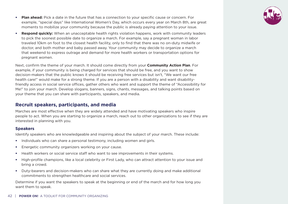- **Plan ahead:** Pick a date in the future that has a connection to your specific cause or concern. For example, "special days" like International Women's Day, which occurs every year on March 8th, are great moments to mobilize your community because the public is already paying attention to your issue.
- **Respond quickly:** When an unacceptable health rights violation happens, work with community leaders to pick the soonest possible date to organize a march. For example, say a pregnant woman in labor traveled 10km on foot to the closest health facility, only to find that there was no on-duty midwife or doctor, and both mother and baby passed away. Your community may decide to organize a march that weekend to express outrage and demand for more health workers or transportation options for pregnant women.

Next, confirm the theme of your march. It should come directly from your **Community Action Plan**. For example, if your community is being charged for services that should be free, and you want to show decision-makers that the public knows it should be receiving free services but isn't, "We want our free health care!" would make for a strong theme. If you are a person with a disability and want disabilityfriendly access in social service offices, gather others who want and support the theme of "Accessibility for Me!" to join your march. Develop slogans, banners, signs, chants, messages, and talking points based on your theme that you can share with participants, speakers, and media.

#### **Recruit speakers, participants, and media**

Marches are most effective when they are widely attended and have motivating speakers who inspire people to act. When you are starting to organize a march, reach out to other organizations to see if they are interested in planning with you.

#### **Speakers**

Identify speakers who are knowledgeable and inspiring about the subject of your march. These include:

- Individuals who can share a personal testimony, including women and girls.
- Energetic community organizers working on your cause.
- Health workers or social service staff who want to see improvements in their systems.
- High-profile champions, like a local celebrity or First Lady, who can attract attention to your issue and bring a crowd.
- Duty-bearers and decision-makers who can share what they are currently doing and make additional commitments to strengthen healthcare and social services.

Determine if you want the speakers to speak at the beginning or end of the march and for how long you want them to speak.

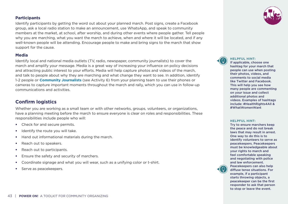#### **Participants**

Identify participants by getting the word out about your planned march. Post signs, create a Facebook group, ask a local radio station to make an announcement, use WhatsApp, and speak to community members at the market, at school, after worship, and during other events where people gather. Tell people why you are marching, what you want the march to achieve, when and where it will be located, and if any well-known people will be attending. Encourage people to make and bring signs to the march that show support for the cause.

#### **Media**

Identify local and national media outlets (TV, radio, newspaper, community journalists) to cover the march and amplify your message. Media is a great way of increasing your influence on policy decisions and attracting public interest to your efforts. Media will help capture photos and videos of the march, and talk to people about why they are marching and what change they want to see. In addition, identify 1-2 people or **[Community Journalists](#page-46-0)** (see [Activity 6\)](#page-46-0) from your planning team to use their phones or cameras to capture important moments throughout the march and rally, which you can use in follow-up communications and activities.

#### **Confirm logistics**

Whether you are working as a small team or with other networks, groups, volunteers, or organizations, have a planning meeting before the march to ensure everyone is clear on roles and responsibilities. These responsibilities include people who will:

- Check for and secure permits.
- Identify the route you will take.
- Hand out informational materials during the march.
- Reach out to speakers.
- Reach out to participants.
- Ensure the safety and security of marchers.
- Coordinate signage and what you will wear, such as a unifying color or t-shirt.
- Serve as peacekeepers.



**HELPFUL HINT:** 

If applicable, choose one hashtag for your march that people can use when posting their photos, videos, and comments to social media like Twitter and Facebook. This will help you see how many people are commenting on your issue and collect additional photos and videos. Examples of hashtags include: #HealthRights4All & #WhatWomenWant

#### **HELPFUL HINT:**

Try to ensure marchers keep the peace and do not break laws that may result in arrest. One way to do this is to identify volunteers to serve as peacekeepers. Peacekeepers must be knowledgeable about your rights to march and feel comfortable speaking and negotiating with police and law enforcement. Peacekeepers can also help diffuse tense situations. For example, if a participant starts throwing objects, a peacekeeper can be the first responder to ask that person to stop or leave the event.

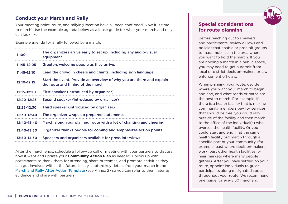

#### **Conduct your March and Rally**

Your meeting point, route, and rallying location have all been confirmed. Now it is time to march! Use the example agenda below as a loose guide for what your march and rally can look like.

Example agenda for a rally followed by a march:

| 11:00           | The organizers arrive early to set up, including any audio-visual<br>equipment.                             |
|-----------------|-------------------------------------------------------------------------------------------------------------|
| $11:45 - 12:05$ | Greeters welcome people as they arrive.                                                                     |
| $11:45 - 12:10$ | Lead the crowd in cheers and chants, including sign language.                                               |
| 12:10-12:15     | Start the event. Provide an overview of why you are there and explain<br>the route and timing of the march. |
| 12:15-12:20     | First speaker (introduced by organizer)                                                                     |
| 12:20-12:25     | Second speaker (introduced by organizer)                                                                    |
| 12:25-12:30     | Third speaker (introduced by organizer)                                                                     |
| 12:30-12:40     | The organizer wraps up prepared statements.                                                                 |
| 12:40-13:40     | March along your planned route with a lot of chanting and cheering!                                         |
| 13:40-13:50     | Organizer thanks people for coming and emphasizes action points                                             |
| 13:50-14:30     | Speakers and organizers available for press interviews                                                      |

After the march ends, schedule a follow-up call or meeting with your partners to discuss how it went and update your **Community Action Plan** as needed. Follow up with participants to thank them for attending, share outcomes, and promote activities they can get involved with in the future. Lastly, capture key details from your march in the [March and Rally After Action Template](#page-63-0) (see [Annex 2\)](#page-63-0) so you can refer to them later as evidence and share with partners.

#### **Special considerations for route planning**

Before reaching out to speakers and participants, review all laws and policies that enable or prohibit groups to mass mobilize in the area where you want to hold the march. If you are holding a march in a public space, you may need to get a permit from local or district decision-makers or law enforcement officials.

When planning your route, decide where you want your march to begin and end, and what roads or paths are the best to march. For example, if there is a health facility that is making community members pay for services that should be free, you could rally outside of the facility and then march to the office of the individual(s) who oversee the health facility. Or you could start and end in at the same health facility but march through a specific part of your community (for example, past where decision-makers work, past other health facilities, or near markets where many people gather). After you have settled on your route, appoint individuals to guide participants along designated spots throughout your route. We recommend one guide for every 50 marchers.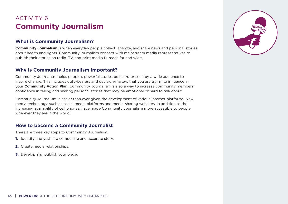## <span id="page-46-0"></span>ACTIVITY 6 **Community Journalism**

#### **What is Community Journalism?**

**Community Journalism** is when everyday people collect, analyze, and share news and personal stories about health and rights. Community journalists connect with mainstream media representatives to publish their stories on radio, TV, and print media to reach far and wide.

#### **Why is Community Journalism important?**

Community Journalism helps people's powerful stories be heard or seen by a wide audience to inspire change. This includes duty-bearers and decision-makers that you are trying to influence in your **Community Action Plan**. Community Journalism is also a way to increase community members' confidence in telling and sharing personal stories that may be emotional or hard to talk about.

Community Journalism is easier than ever given the development of various Internet platforms. New media technology, such as social media platforms and media-sharing websites, in addition to the increasing availability of cell phones, have made Community Journalism more accessible to people wherever they are in the world.

#### **How to become a Community Journalist**

There are three key steps to Community Journalism.

- **1.** Identify and gather a compelling and accurate story.
- 2. Create media relationships.
- **3.** Develop and publish your piece.

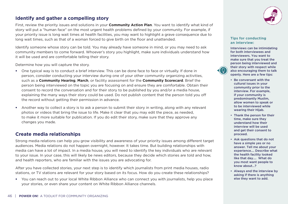#### **Identify and gather a compelling story**

First, review the priority issues and solutions in your **Community Action Plan**. You want to identify what kind of story will put a "human face" on the most urgent health problems defined by your community. For example, if your priority issue is long wait times at health facilities, you may want to highlight a grave consequence due to long wait times, such as that of a woman forced to give birth on the floor and unattended.

Identify someone whose story can be told. You may already have someone in mind, or you may need to ask community members to come forward. Whoever's story you highlight, make sure individuals understand how it will be used and are comfortable telling their story.

Determine how you will capture the story.

- One typical way is to conduct a brief interview. This can be done face to face or virtually. If done in person, consider conducting your interview during one of your other community organizing activities, such as a **Community Hearing**, **March**, or facility assessment for the **Community Scorecard**. Brief the person being interviewed on the topic you are focusing on and ensure they are comfortable. Obtain their consent to record the conversation and for their story to be published by you and/or a media house, explaining the many ways their story could be used. Do not publish content that the person told you off the record without getting their permission in advance.
- Another way to collect a story is to ask a person to submit their story in writing, along with any relevant photos or videos that bring the issue to life. Make it clear that you may edit the piece, as needed, to make it more suitable for publication. If you do edit their story, make sure that they approve any changes you made.

#### **Create media relationships**

Strong media relations can help you grow visibility and awareness of your priority issues among different target audiences. Media relations do not happen overnight, however. It takes time. But building relationships with media can have a lot of impact. In a media house, you will need to identify the key individuals who are relevant to your issue. In your case, this will likely be news editors, because they decide which stories are told and how, and health reporters, who are familiar with the issues you are advocating for.

After you have collected stories, your next step is to identify which journalists from print media houses, radio stations, or TV stations are relevant for your story based on its focus. How do you create these relationships?

• You can reach out to your local White Ribbon Alliance who can connect you with journalists, help you place your stories, or even share your content on White Ribbon Alliance channels.



#### **Tips for conducting an interview:**

Interviews can be intimidating for both interviewees and interviewers. You want to make sure that you treat the person being interviewed and their story with respect while also encouraging them to talk openly. Here are a few tips:

- Be conversant with the cultural issues in your community prior to the interview. For example, if your community is predominantly Muslim, allow women to speak or to be interviewed while wearing their Hijab.
- Thank the person for their time, make sure they understand how their interview will be used and get their consent to proceed.
- Ask questions that do not have a simple yes or no answer. Tell me about your experience…. Describe what the health facility looked like that day…. What do you most want people to know about…?
- Always end the interview by asking if there is anything else they want to add.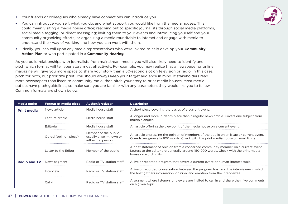- Your friends or colleagues who already have connections can introduce you.
- You can introduce yourself, what you do, and what support you would like from the media houses. This could mean visiting a media house office; reaching out to specific journalists through social media platforms, social media tagging, or direct messaging; inviting them to your events and introducing yourself and your community organizing efforts; or organizing a media roundtable to interact and engage with media to understand their way of working and how you can work with them.
- Ideally, you can call upon any media representatives who were invited to help develop your **Community Action Plan** or who participated in a **Community Hearing**.

As you build relationships with journalists from mainstream media, you will also likely need to identify and pitch which format will tell your story most effectively. For example, you may realize that a newspaper or online magazine will give you more space to share your story than a 30-second slot on television or radio. In this case, pitch for both, but prioritize print. You should always keep your target audience in mind. If stakeholders read more newspapers than listen to community radio, then pitch your story to print media houses. Most media outlets have pitch guidelines, so make sure you are familiar with any parameters they would like you to follow. Common formats are shown below.

| <b>Media outlet</b> | <b>Format of media piece</b> | Author/producer                                                        | <b>Description</b>                                                                                                                                                                                  |
|---------------------|------------------------------|------------------------------------------------------------------------|-----------------------------------------------------------------------------------------------------------------------------------------------------------------------------------------------------|
| <b>Print media</b>  | News article                 | Media house staff                                                      | A short piece covering the basics of a current event.                                                                                                                                               |
|                     | Feature article              | Media house staff                                                      | A longer and more in-depth piece than a regular news article. Covers one subject from<br>multiple angles.                                                                                           |
|                     | Editorial                    | Media house staff                                                      | An article offering the viewpoint of the media house on a current event.                                                                                                                            |
|                     | Op-ed (opinion piece)        | Member of the public.<br>usually a well-known or<br>influential person | An article expressing the opinion of members of the public on an issue or current event.<br>Op-eds are generally 800 words. Check with the print media house on word limits.                        |
|                     | Letter to the Editor         | Member of the public                                                   | A brief statement of opinion from a concerned community member on a current event.<br>Letters to the editor are generally around 150-200 words. Check with the print media<br>house on word limits. |
| <b>Radio and TV</b> | News segment                 | Radio or TV station staff                                              | A live or recorded program that covers a current event or human-interest topic.                                                                                                                     |
|                     | Interview                    | Radio or TV station staff                                              | A live or recorded conversation between the program host and the interviewee in which<br>the host gathers information, opinion, and emotion from the interviewee.                                   |
|                     | Call-in                      | Radio or TV station staff                                              | A segment where listeners or viewers are invited to call in and share their live comments<br>on a given topic.                                                                                      |

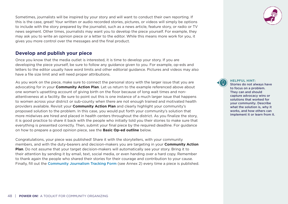Sometimes, journalists will be inspired by your story and will want to conduct their own reporting. If this is the case, great! Your written or audio recorded stories, pictures, or videos will simply be options to include with the story prepared by the journalist, such as a news article, feature story, or radio or TV news segment. Other times, journalists may want you to develop the piece yourself. For example, they may ask you to write an opinion piece or a letter to the editor. While this means more work for you, it gives you more control over the messages and the final product.

#### **Develop and publish your piece**

Once you know that the media outlet is interested, it is time to develop your story. If you are developing the piece yourself, be sure to follow any guidance given to you. For example, op-eds and letters to the editor usually have word limits and other editorial guidance. Pictures and videos may also have a file size limit and will need proper attributions.

As you work on the piece, make sure to connect the personal story with the larger issue that you are advocating for in your **Community Action Plan**. Let us return to the example referenced above about one woman's upsetting account of giving birth on the floor because of long wait times and nonattentiveness at a facility. Be sure to point out this is one instance of a much larger issue that happens to women across your district or sub-county when there are not enough trained and motivated health providers available. Revisit your **Community Action Plan** and clearly highlight your community's proposed solution to the problem. In this case, you would put forth your community's solution that more midwives are hired and placed in health centers throughout the district. As you finalize the story, it is good practice to share it back with the people who initially told you their stories to make sure that everything is presented correctly. Then, submit your final piece by the required deadline. For guidance on how to prepare a good opinion piece, see the **Basic Op-ed outline** below.

Congratulations, your piece was published! Share it with the storytellers, with your community members, and with the duty-bearers and decision-makers you are targeting in your **Community Action Plan**. Do not assume that your target decision-makers will automatically see your story. Bring it to their attention by sending it by email, text, social media, or even handing over a hard copy. Remember to thank again the people who shared their stories for their courage and contribution to your cause. Finally, fill out the [Community Journalism Tracking Form](#page-64-0) (see Annex 2) every time a piece is published.



**HELPFUL HINT:** 

Stories do not always have to focus on a problem. They can and should capture advocacy wins or solutions that worked for your community. Describe what the solution is, why it works, and how others can implement it or learn from it.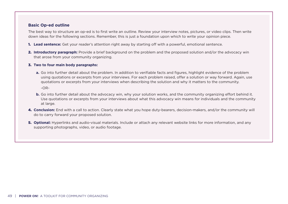#### **Basic Op-ed outline**

The best way to structure an op-ed is to first write an outline. Review your interview notes, pictures, or video clips. Then write down ideas for the following sections. Remember, this is just a foundation upon which to write your opinion piece.

- 1. **Lead sentence:** Get your reader's attention right away by starting off with a powerful, emotional sentence.
- 2. Introductory paragraph: Provide a brief background on the problem and the proposed solution and/or the advocacy win that arose from your community organizing.

#### 3. **Two to four main body paragraphs:**

- **a.** Go into further detail about the problem. In addition to verifiable facts and figures, highlight evidence of the problem using quotations or excerpts from your interviews. For each problem raised, offer a solution or way forward. Again, use quotations or excerpts from your interviews when describing the solution and why it matters to the community. -OR-
- **b.** Go into further detail about the advocacy win, why your solution works, and the community organizing effort behind it. Use quotations or excerpts from your interviews about what this advocacy win means for individuals and the community at large.
- 4. **Conclusion:** End with a call to action. Clearly state what you hope duty-bearers, decision-makers, and/or the community will do to carry forward your proposed solution.
- 5. **Optional:** Hyperlinks and audio-visual materials. Include or attach any relevant website links for more information, and any supporting photographs, video, or audio footage.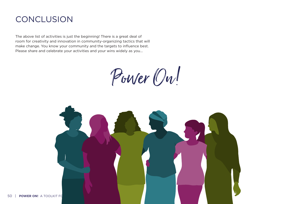## **CONCLUSION**

The above list of activities is just the beginning! There is a great deal of room for creativity and innovation in community-organizing tactics that will make change. You know your community and the targets to influence best. Please share and celebrate your activities and your wins widely as you...

Power On!

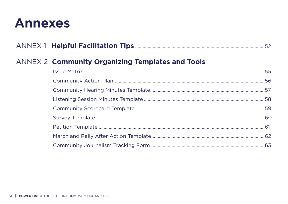## <span id="page-52-0"></span>**Annexes**

|--|--|--|

## **ANNEX 2 Community Organizing Templates and Tools**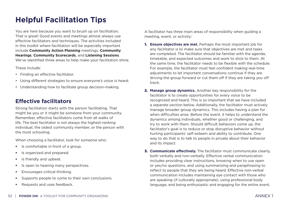## <span id="page-53-0"></span>**Helpful Facilitation Tips**

You are here because you want to brush up on facilitation. That is great! Good events and meetings almost always use effective facilitators and techniques. The activities included in this toolkit where facilitation will be especially important include **Community Action Planning** meetings, **Community Hearings**, **Community Scorecards**, and **Listening Sessions**. We've identified three areas to help make your facilitation shine.

These include:

- Finding an effective facilitator.
- Using different strategies to ensure everyone's voice is heard.
- Understanding how to facilitate group decision-making.

### **Effective facilitators**

Strong facilitation starts with the person facilitating. That might be you or it might be someone from your community. Remember, effective facilitators come from all walks of life. The best facilitator is not always the highest-ranking individual, the oldest community member, or the person with the most schooling.

When choosing a facilitator, look for someone who:

- Is comfortable in front of a group.
- Is organized and prepared.
- Is friendly and upbeat.
- Is open to hearing many perspectives.
- Encourages critical thinking.
- Supports people to come to their own conclusions.
- Requests and uses feedback.

A facilitator has three main areas of responsibility when guiding a meeting, event, or activity:

- 1. **Ensure objectives are met.** Perhaps the most important job for any facilitator is to make sure that objectives are met and tasks are completed. The facilitator should be familiar with the agenda, timetable, and expected outcomes and work to stick to them. At the same time, the facilitator needs to be flexible with the schedule. For example, the facilitator must feel confident making real-time adjustments to let important conversations continue if they are driving the group forward or cut them off if they are taking you off track.
- 2. **Manage group dynamics.** Another key responsibility for the facilitator is to create opportunities for every voice to be recognized and heard. This is so important that we have included a separate section below. Additionally, the facilitator must actively manage broader group dynamics. This includes having a plan for when difficulties arise. Before the event, it helps to understand the dynamics among individuals, whether good or challenging, and try to work with them. Should difficult behaviors come up, the facilitator's goal is to reduce or stop disruptive behavior without hurting participants' self-esteem and ability to contribute. One way to do that is to talk to people in private about their behavior and its impact.
- 3. **Communicate effectively.** The facilitator must communicate clearly, both verbally and non-verbally. Effective verbal communication includes providing clear instructions, knowing when to use open or yes/no questions, and using summarizing and paraphrasing to reflect to people that they are being heard. Effective non-verbal communication includes maintaining eye contact with those who are speaking (if culturally appropriate), using professional body language, and being enthusiastic and engaging for the entire event.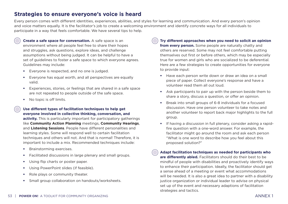#### **Strategies to ensure everyone's voice is heard**

Every person comes with different identities, experiences, abilities, and styles for learning and communication. And every person's opinion and voice matters equally. It is the facilitator's job to create a welcoming environment and identify concrete ways for all individuals to participate in a way that feels comfortable. We have several tips to help.

**Create a safe space for conversation.** A safe space is an environment where all people feel free to share their hopes and struggles, ask questions, explore ideas, and challenge assumptions without being judged. It can be helpful to have a set of guidelines to foster a safe space to which everyone agrees. Guidelines may include:

- Everyone is respected, and no one is judged.
- Everyone has equal worth, and all perspectives are equally valid.
- Experiences, stories, or feelings that are shared in a safe space are not repeated to people outside of the safe space.
- No topic is off limits.

#### **Use different types of facilitation techniques to help get everyone involved in collective thinking, conversation, and**

**activity.** This is particularly important for participatory gatherings like **Community Action Planning** meetings, **Community Hearings**, and **Listening Sessions**. People have different personalities and learning styles. Some will respond well to certain facilitation techniques and others will not. And that is normal! Therefore, it is important to include a mix. Recommended techniques include:

- Brainstorming exercises.
- Facilitated discussions in large plenary and small groups.
- Using flip charts or poster paper.
- Using PowerPoint slides (if feasible).
- Role plays or community theater.
- Small group collaboration on handouts/worksheets.

**Try different approaches when you need to solicit an opinion from every person.** Some people are naturally chatty and others are reserved. Some may not feel comfortable putting themselves out first or before others, which may be especially true for women and girls who are socialized to be deferential. Here are a few strategies to create opportunities for everyone to provide input:

- Have each person write down or draw an idea on a small piece of paper. Collect everyone's response and have a volunteer read them all out loud.
- Ask participants to pair up with the person beside them to share a story, discuss a question, or offer an opinion.
- Break into small groups of 6-8 individuals for a focused discussion. Have one person volunteer to take notes and another volunteer to report back major highlights to the full group.
- If having a discussion in full plenary, consider asking a rapidfire question with a one-word answer. For example, the facilitator might go around the room and ask each person "What is one word to describe how you feel about this proposed solution?"

**Adapt facilitation techniques as needed for participants who are differently abled.** Facilitators should do their best to be mindful of people with disabilities and proactively identify ways to enhance their participation. Ideally, the facilitator should get a sense ahead of a meeting or event what accommodations will be needed. It is also a great idea to partner with a disability justice organization or individual leader to advise on physical set up of the event and necessary adaptions of facilitation strategies and tactics.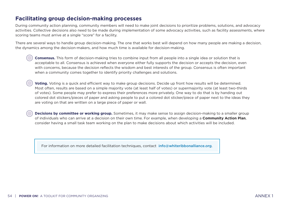#### **Facilitating group decision-making processes**

During community action planning, community members will need to make joint decisions to prioritize problems, solutions, and advocacy activities. Collective decisions also need to be made during implementation of some advocacy activities, such as facility assessments, where scoring teams must arrive at a single "score" for a facility.

There are several ways to handle group decision-making. The one that works best will depend on how many people are making a decision, the dynamics among the decision-makers, and how much time is available for decision-making.

**Consensus.** This form of decision-making tries to combine input from all people into a single idea or solution that is acceptable to all. Consensus is achieved when everyone either fully supports the decision or accepts the decision, even with concerns, because the decision reflects the wisdom and best interests of the group. Consensus is often important when a community comes together to identify priority challenges and solutions.

**Voting.** Voting is a quick and efficient way to make group decisions. Decide up front how results will be determined. Most often, results are based on a simple majority vote (at least half of votes) or supermajority vote (at least two-thirds of votes). Some people may prefer to express their preferences more privately. One way to do that is by handing out colored dot stickers/pieces of paper and asking people to put a colored dot sticker/piece of paper next to the ideas they are voting on that are written on a large piece of paper or wall.

**Decisions by committee or working group.** Sometimes, it may make sense to assign decision-making to a smaller group of individuals who can arrive at a decision on their own time. For example, when developing a **Community Action Plan**, consider having a small task team working on the plan to make decisions about which activities will be included.

For information on more detailed facilitation techniques, contact [info@whiteribbonalliance.org](mailto:info%40whiteribbonalliance.org?subject=).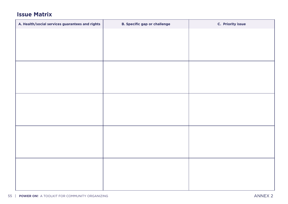### <span id="page-56-0"></span>**Issue Matrix**

| A. Health/social services guarantees and rights | <b>B. Specific gap or challenge</b> | C. Priority issue |
|-------------------------------------------------|-------------------------------------|-------------------|
|                                                 |                                     |                   |
|                                                 |                                     |                   |
|                                                 |                                     |                   |
|                                                 |                                     |                   |
|                                                 |                                     |                   |
|                                                 |                                     |                   |
|                                                 |                                     |                   |
|                                                 |                                     |                   |
|                                                 |                                     |                   |
|                                                 |                                     |                   |
|                                                 |                                     |                   |
|                                                 |                                     |                   |
|                                                 |                                     |                   |
|                                                 |                                     |                   |
|                                                 |                                     |                   |
|                                                 |                                     |                   |
|                                                 |                                     |                   |
|                                                 |                                     |                   |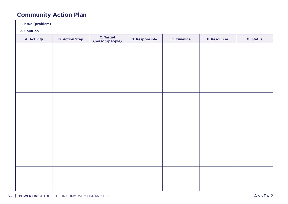## <span id="page-57-0"></span>**Community Action Plan**

| 1. Issue (problem) |                       |                              |                       |                    |                     |                  |
|--------------------|-----------------------|------------------------------|-----------------------|--------------------|---------------------|------------------|
| 2. Solution        |                       |                              |                       |                    |                     |                  |
| A. Activity        | <b>B. Action Step</b> | C. Target<br>(person/people) | <b>D. Responsible</b> | <b>E. Timeline</b> | <b>F. Resources</b> | <b>G. Status</b> |
|                    |                       |                              |                       |                    |                     |                  |
|                    |                       |                              |                       |                    |                     |                  |
|                    |                       |                              |                       |                    |                     |                  |
|                    |                       |                              |                       |                    |                     |                  |
|                    |                       |                              |                       |                    |                     |                  |
|                    |                       |                              |                       |                    |                     |                  |
|                    |                       |                              |                       |                    |                     |                  |
|                    |                       |                              |                       |                    |                     |                  |
|                    |                       |                              |                       |                    |                     |                  |
|                    |                       |                              |                       |                    |                     |                  |
|                    |                       |                              |                       |                    |                     |                  |
|                    |                       |                              |                       |                    |                     |                  |
|                    |                       |                              |                       |                    |                     |                  |
|                    |                       |                              |                       |                    |                     |                  |
|                    |                       |                              |                       |                    |                     |                  |
|                    |                       |                              |                       |                    |                     |                  |
|                    |                       |                              |                       |                    |                     |                  |
|                    |                       |                              |                       |                    |                     |                  |
|                    |                       |                              |                       |                    |                     |                  |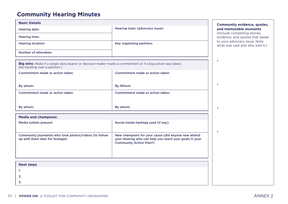### <span id="page-58-0"></span>**Community Hearing Minutes**

| <b>Basic Details</b>        |                                 |
|-----------------------------|---------------------------------|
| <b>Hearing date:</b>        | Hearing topic (advocacy issue): |
| Hearing time:               |                                 |
| <b>Hearing location:</b>    | Key organizing partners:        |
| <b>Number of attendees:</b> |                                 |

**Big wins** (Note if a target duty bearer or decision-maker made a commitment or if a big action was taken, like handing over a petition.)

| Commitment made or action taken: | Commitment made or action taken: |
|----------------------------------|----------------------------------|
| By whom:                         | By Whom:                         |
| Commitment made or action taken: | Commitment made or action taken: |
| By whom:                         | By whom:                         |

| <b>Media and champions:</b>                                                                 |                                                                                                                                                 |
|---------------------------------------------------------------------------------------------|-------------------------------------------------------------------------------------------------------------------------------------------------|
| Media outlets present:                                                                      | Social media hashtag used (if any):                                                                                                             |
| Community journalists who took photos/videos (to follow<br>up with them later for footage): | New champions for your cause (did anyone new attend<br>your Hearing who can help you reach your goals in your<br><b>Community Action Plan?)</b> |

| <b>Next steps</b> |  |
|-------------------|--|
| . .               |  |
| 2.                |  |
| 3.                |  |

#### **Basic Details Community evidence, quotes, and memorable moments**

(Include compelling stories, evidence, and quotes that speak to your advocacy issue. Note what was said and who said it.)

•

•

•

•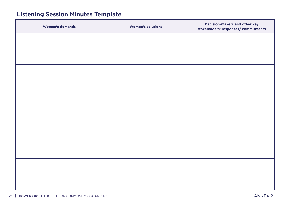## <span id="page-59-0"></span>**Listening Session Minutes Template**

| <b>Women's demands</b> | <b>Women's solutions</b> | Decision-makers and other key<br>stakeholders' responses/ commitments |
|------------------------|--------------------------|-----------------------------------------------------------------------|
|                        |                          |                                                                       |
|                        |                          |                                                                       |
|                        |                          |                                                                       |
|                        |                          |                                                                       |
|                        |                          |                                                                       |
|                        |                          |                                                                       |
|                        |                          |                                                                       |
|                        |                          |                                                                       |
|                        |                          |                                                                       |
|                        |                          |                                                                       |
|                        |                          |                                                                       |
|                        |                          |                                                                       |
|                        |                          |                                                                       |
|                        |                          |                                                                       |
|                        |                          |                                                                       |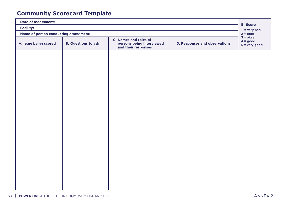## <span id="page-60-0"></span>**Community Scorecard Template**

| <b>Date of assessment:</b>            |                            |                                                                                  |                                      | E. Score                                    |  |
|---------------------------------------|----------------------------|----------------------------------------------------------------------------------|--------------------------------------|---------------------------------------------|--|
| <b>Facility:</b>                      |                            |                                                                                  |                                      |                                             |  |
| Name of person conducting assessment: |                            |                                                                                  |                                      |                                             |  |
| A. Issue being scored                 | <b>B. Questions to ask</b> | <b>C. Names and roles of</b><br>persons being interviewed<br>and their responses | <b>D. Responses and observations</b> | $3 = okay$<br>$4 = good$<br>$5 = very good$ |  |
|                                       |                            |                                                                                  |                                      |                                             |  |
|                                       |                            |                                                                                  |                                      |                                             |  |
|                                       |                            |                                                                                  |                                      |                                             |  |
|                                       |                            |                                                                                  |                                      |                                             |  |
|                                       |                            |                                                                                  |                                      |                                             |  |
|                                       |                            |                                                                                  |                                      |                                             |  |
|                                       |                            |                                                                                  |                                      |                                             |  |
|                                       |                            |                                                                                  |                                      |                                             |  |
|                                       |                            |                                                                                  |                                      |                                             |  |
|                                       |                            |                                                                                  |                                      |                                             |  |
|                                       |                            |                                                                                  |                                      |                                             |  |
|                                       |                            |                                                                                  |                                      |                                             |  |
|                                       |                            |                                                                                  |                                      |                                             |  |
|                                       |                            |                                                                                  |                                      |                                             |  |
|                                       |                            |                                                                                  |                                      |                                             |  |
|                                       |                            |                                                                                  |                                      |                                             |  |
|                                       |                            |                                                                                  |                                      |                                             |  |
|                                       |                            |                                                                                  |                                      |                                             |  |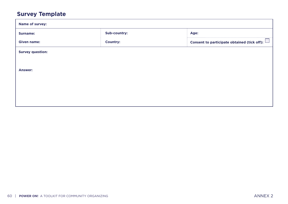## <span id="page-61-0"></span>**Survey Template**

| <b>Name of survey:</b>  |                 |                                                    |  |  |  |  |
|-------------------------|-----------------|----------------------------------------------------|--|--|--|--|
| <b>Surname:</b>         | Sub-country:    | Age:                                               |  |  |  |  |
| <b>Given name:</b>      | <b>Country:</b> | Consent to participate obtained (tick off): $\Box$ |  |  |  |  |
| <b>Survey question:</b> |                 |                                                    |  |  |  |  |
|                         |                 |                                                    |  |  |  |  |
| <b>Answer:</b>          |                 |                                                    |  |  |  |  |
|                         |                 |                                                    |  |  |  |  |
|                         |                 |                                                    |  |  |  |  |
|                         |                 |                                                    |  |  |  |  |
|                         |                 |                                                    |  |  |  |  |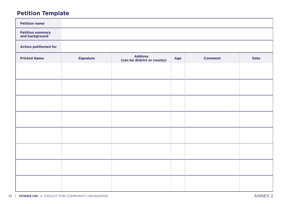## <span id="page-62-0"></span>**Petition Template**

| <b>Petition name</b>                       |                  |                                               |     |                |             |
|--------------------------------------------|------------------|-----------------------------------------------|-----|----------------|-------------|
| <b>Petition summary<br/>and background</b> |                  |                                               |     |                |             |
| <b>Action petitioned for</b>               |                  |                                               |     |                |             |
| <b>Printed Name</b>                        | <b>Signature</b> | <b>Address</b><br>(can be district or county) | Age | <b>Comment</b> | <b>Date</b> |
|                                            |                  |                                               |     |                |             |
|                                            |                  |                                               |     |                |             |
|                                            |                  |                                               |     |                |             |
|                                            |                  |                                               |     |                |             |
|                                            |                  |                                               |     |                |             |
|                                            |                  |                                               |     |                |             |
|                                            |                  |                                               |     |                |             |
|                                            |                  |                                               |     |                |             |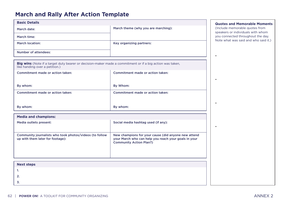### <span id="page-63-0"></span>**March and Rally After Action Template**

| <b>Basic Details</b>   |                                     |
|------------------------|-------------------------------------|
| March date:            | March theme (why you are marching): |
| March time:            |                                     |
| <b>March location:</b> | Key organizing partners:            |
| Number of attendees:   |                                     |

**Big wins** (Note if a target duty bearer or decision-maker made a commitment or if a big action was taken, like handing over a petition.)

| Commitment made or action taken: | Commitment made or action taken: |
|----------------------------------|----------------------------------|
| By whom:                         | By Whom:                         |
| Commitment made or action taken: | Commitment made or action taken: |
| By whom:                         | By whom:                         |

| <b>Media and champions:</b>                                                                 |                                                                                                                                               |  |  |  |  |
|---------------------------------------------------------------------------------------------|-----------------------------------------------------------------------------------------------------------------------------------------------|--|--|--|--|
| Media outlets present:                                                                      | Social media hashtag used (if any):                                                                                                           |  |  |  |  |
| Community journalists who took photos/videos (to follow<br>up with them later for footage): | New champions for your cause (did anyone new attend<br>your March who can help you reach your goals in your<br><b>Community Action Plan?)</b> |  |  |  |  |

| <b>Next steps</b> |  |
|-------------------|--|
| .                 |  |
| 2.                |  |
| 3.                |  |

#### **Basic Details Quotes and Memorable Moments**

(Include memorable quotes from speakers or individuals with whom you connected throughout the day. Note what was said and who said it.)

•

•

•

•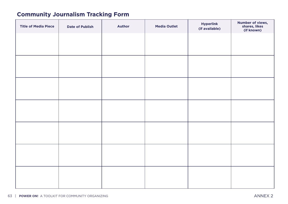## <span id="page-64-0"></span>**Community Journalism Tracking Form**

| <b>Title of Media Piece</b> | <b>Date of Publish</b> | <b>Author</b> | <b>Media Outlet</b> | <b>Hyperlink</b><br>(if available) | <b>Number of views,<br/>shares, likes<br/>(if known)</b> |
|-----------------------------|------------------------|---------------|---------------------|------------------------------------|----------------------------------------------------------|
|                             |                        |               |                     |                                    |                                                          |
|                             |                        |               |                     |                                    |                                                          |
|                             |                        |               |                     |                                    |                                                          |
|                             |                        |               |                     |                                    |                                                          |
|                             |                        |               |                     |                                    |                                                          |
|                             |                        |               |                     |                                    |                                                          |
|                             |                        |               |                     |                                    |                                                          |